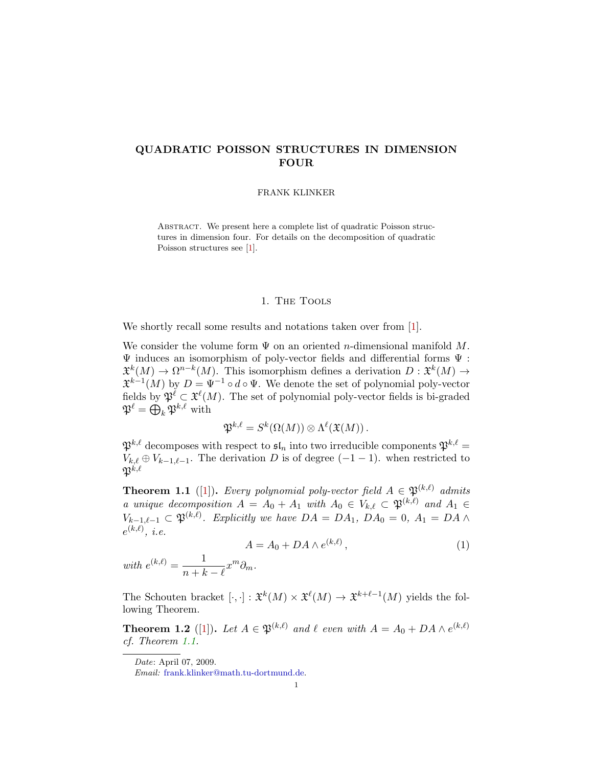## QUADRATIC POISSON STRUCTURES IN DIMENSION FOUR

#### FRANK KLINKER

ABSTRACT. We present here a complete list of quadratic Poisson structures in dimension four. For details on the decomposition of quadratic Poisson structures see [\[1\]](#page-24-0).

### 1. The Tools

We shortly recall some results and notations taken over from [\[1\]](#page-24-0).

We consider the volume form  $\Psi$  on an oriented *n*-dimensional manifold M.  $\Psi$  induces an isomorphism of poly-vector fields and differential forms  $\Psi$ :  $\mathfrak{X}^k(M) \to \Omega^{n-k}(M)$ . This isomorphism defines a derivation  $D: \mathfrak{X}^k(M) \to$  $\mathfrak{X}^{k-1}(M)$  by  $D = \Psi^{-1} \circ d \circ \Psi$ . We denote the set of polynomial poly-vector fields by  $\mathfrak{P}^{\ell} \subset \mathfrak{X}^{\ell}(M)$ . The set of polynomial poly-vector fields is bi-graded  $\mathfrak{P}^{\ell} = \bigoplus_k \mathfrak{P}^{k,\ell}$  with

$$
\mathfrak{P}^{k,\ell}=S^k(\Omega(M))\otimes \Lambda^\ell(\mathfrak{X}(M))\,.
$$

 $\mathfrak{P}^{k,\ell}$  decomposes with respect to  $\mathfrak{sl}_n$  into two irreducible components  $\mathfrak{P}^{k,\ell} =$  $V_{k,\ell} \oplus V_{k-1,\ell-1}$ . The derivation D is of degree  $(-1 - 1)$ . when restricted to  $\mathfrak{P}^{k,\ell}$ 

<span id="page-0-0"></span>**Theorem 1.1** ([\[1\]](#page-24-0)). Every polynomial poly-vector field  $A \in \mathfrak{B}^{(k,\ell)}$  admits a unique decomposition  $A = A_0 + A_1$  with  $A_0 \in V_{k,\ell} \subset \mathfrak{P}^{(k,\ell)}$  and  $A_1 \in$  $V_{k-1,\ell-1} \subset \mathfrak{P}^{(k,\ell)}$ . Explicitly we have  $DA = DA_1$ ,  $DA_0 = 0$ ,  $A_1 = DA \wedge$  $e^{(k,\ell)},\ i.e.$ 

$$
A = A_0 + DA \wedge e^{(k,\ell)}, \qquad (1)
$$

with  $e^{(k,\ell)} = \frac{1}{\sqrt{1-\frac{1}{\ell}}}$  $\frac{1}{n+k-\ell} x^m \partial_m.$ 

The Schouten bracket  $[\cdot, \cdot] : \mathfrak{X}^k(M) \times \mathfrak{X}^{\ell}(M) \to \mathfrak{X}^{k+\ell-1}(M)$  yields the following Theorem.

<span id="page-0-1"></span>**Theorem 1.2** ([\[1\]](#page-24-0)). Let  $A \in \mathfrak{P}^{(k,\ell)}$  and  $\ell$  even with  $A = A_0 + D A \wedge e^{(k,\ell)}$ cf. Theorem [1.1.](#page-0-0)

Date: April 07, 2009.

Email: [frank.klinker@math.tu-dortmund.de.](mailto:frank.klinker@math.tu-dortmund.de)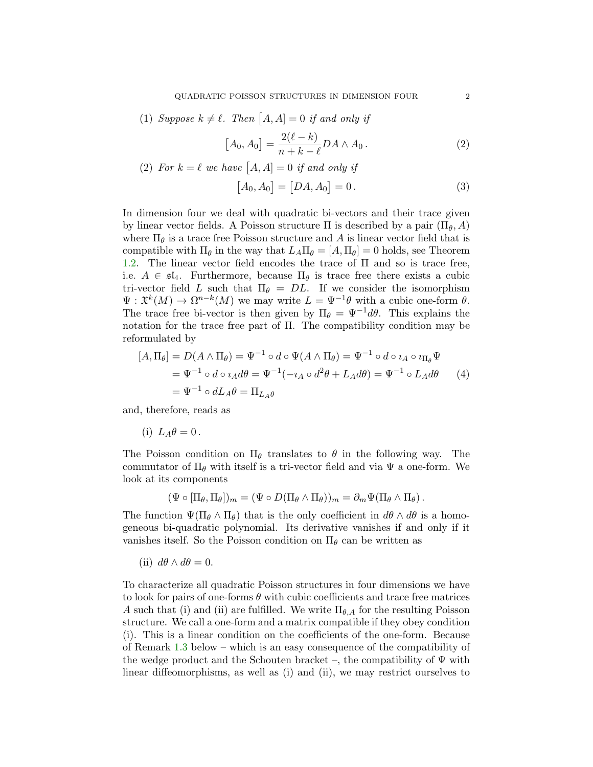(1) Suppose  $k \neq \ell$ . Then  $[A, A] = 0$  if and only if

$$
[A_0, A_0] = \frac{2(\ell - k)}{n + k - \ell} DA \wedge A_0.
$$
 (2)

(2) For 
$$
k = \ell
$$
 we have  $[A, A] = 0$  if and only if

$$
[A_0, A_0] = [DA, A_0] = 0.
$$
 (3)

In dimension four we deal with quadratic bi-vectors and their trace given by linear vector fields. A Poisson structure  $\Pi$  is described by a pair  $(\Pi_{\theta}, A)$ where  $\Pi_{\theta}$  is a trace free Poisson structure and A is linear vector field that is compatible with  $\Pi_{\theta}$  in the way that  $L_A \Pi_{\theta} = [A, \Pi_{\theta}] = 0$  holds, see Theorem [1.2.](#page-0-1) The linear vector field encodes the trace of Π and so is trace free, i.e.  $A \in \mathfrak{sl}_4$ . Furthermore, because  $\Pi_\theta$  is trace free there exists a cubic tri-vector field L such that  $\Pi_{\theta} = DL$ . If we consider the isomorphism  $\Psi: \mathfrak{X}^k(M) \to \Omega^{n-k}(M)$  we may write  $L = \Psi^{-1}\theta$  with a cubic one-form  $\theta$ . The trace free bi-vector is then given by  $\Pi_{\theta} = \Psi^{-1} d\theta$ . This explains the notation for the trace free part of Π. The compatibility condition may be reformulated by

$$
[A, \Pi_{\theta}] = D(A \wedge \Pi_{\theta}) = \Psi^{-1} \circ d \circ \Psi(A \wedge \Pi_{\theta}) = \Psi^{-1} \circ d \circ \iota_A \circ \iota_{\Pi_{\theta}} \Psi
$$
  
=  $\Psi^{-1} \circ d \circ \iota_A d\theta = \Psi^{-1}(-\iota_A \circ d^2\theta + L_A d\theta) = \Psi^{-1} \circ L_A d\theta$  (4)  
=  $\Psi^{-1} \circ dL_A \theta = \Pi_{L_A \theta}$ 

and, therefore, reads as

(i)  $L_A\theta = 0$ .

The Poisson condition on  $\Pi_{\theta}$  translates to  $\theta$  in the following way. The commutator of  $\Pi_{\theta}$  with itself is a tri-vector field and via  $\Psi$  a one-form. We look at its components

$$
(\Psi \circ [\Pi_{\theta}, \Pi_{\theta}])_m = (\Psi \circ D(\Pi_{\theta} \wedge \Pi_{\theta}))_m = \partial_m \Psi(\Pi_{\theta} \wedge \Pi_{\theta}).
$$

The function  $\Psi(\Pi_{\theta} \wedge \Pi_{\theta})$  that is the only coefficient in  $d\theta \wedge d\theta$  is a homogeneous bi-quadratic polynomial. Its derivative vanishes if and only if it vanishes itself. So the Poisson condition on  $\Pi_{\theta}$  can be written as

(ii) 
$$
d\theta \wedge d\theta = 0
$$
.

To characterize all quadratic Poisson structures in four dimensions we have to look for pairs of one-forms  $\theta$  with cubic coefficients and trace free matrices A such that (i) and (ii) are fulfilled. We write  $\Pi_{\theta,A}$  for the resulting Poisson structure. We call a one-form and a matrix compatible if they obey condition (i). This is a linear condition on the coefficients of the one-form. Because of Remark [1.3](#page-2-0) below – which is an easy consequence of the compatibility of the wedge product and the Schouten bracket –, the compatibility of  $\Psi$  with linear diffeomorphisms, as well as (i) and (ii), we may restrict ourselves to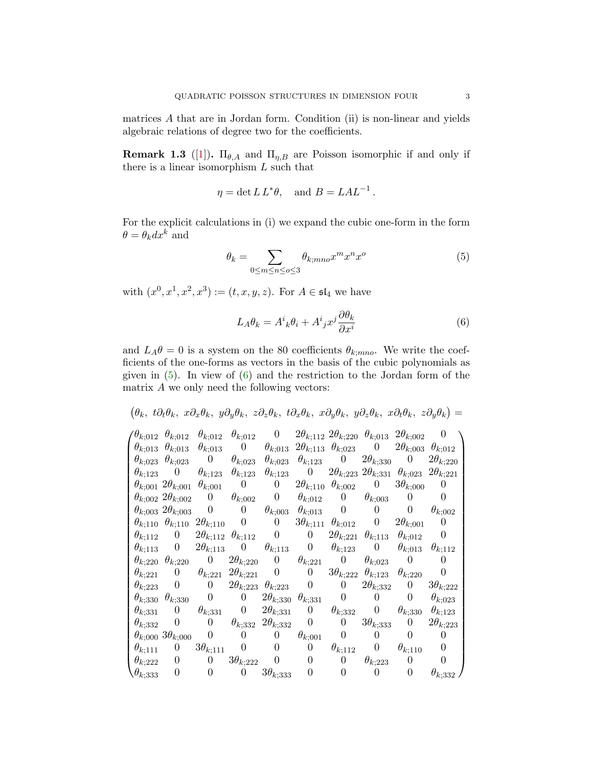matrices A that are in Jordan form. Condition (ii) is non-linear and yields algebraic relations of degree two for the coefficients.

<span id="page-2-0"></span>**Remark 1.3** ([\[1\]](#page-24-0)).  $\Pi_{\theta,A}$  and  $\Pi_{\eta,B}$  are Poisson isomorphic if and only if there is a linear isomorphism  $L$  such that

$$
\eta = \det L L^* \theta
$$
, and  $B = L A L^{-1}$ .

For the explicit calculations in (i) we expand the cubic one-form in the form  $\theta = \theta_k dx^k$  and

<span id="page-2-1"></span>
$$
\theta_k = \sum_{0 \le m \le n \le o \le 3} \theta_{k;mno} x^m x^n x^o \tag{5}
$$

with  $(x^0, x^1, x^2, x^3) := (t, x, y, z)$ . For  $A \in \mathfrak{sl}_4$  we have

<span id="page-2-2"></span>
$$
L_A \theta_k = A^i{}_k \theta_i + A^i{}_j x^j \frac{\partial \theta_k}{\partial x^i} \tag{6}
$$

and  $L_A\theta = 0$  is a system on the 80 coefficients  $\theta_{k;mno}$ . We write the coefficients of the one-forms as vectors in the basis of the cubic polynomials as given in  $(5)$ . In view of  $(6)$  and the restriction to the Jordan form of the matrix  $A$  we only need the following vectors:

$$
(\theta_k, t\partial_t\theta_k, x\partial_x\theta_k, y\partial_y\theta_k, z\partial_z\theta_k, t\partial_x\theta_k, x\partial_y\theta_k, y\partial_z\theta_k, x\partial_t\theta_k, z\partial_y\theta_k) =
$$

|  |                                | $(\theta_{k;012} \ \theta_{k;012} \ \theta_{k;012} \ \theta_{k;012} \ \theta_{k;012} \quad 0 \quad 2\theta_{k;112} 2\theta_{k;220} \ \theta_{k;013} 2\theta_{k;002} \quad 0$ |                                            |                     |              |                   |
|--|--------------------------------|------------------------------------------------------------------------------------------------------------------------------------------------------------------------------|--------------------------------------------|---------------------|--------------|-------------------|
|  |                                | $\theta_{k;013}$ $\theta_{k;013}$ $\theta_{k;013}$ 0 $\theta_{k;013}$ $2\theta_{k;113}$ $\theta_{k;023}$ 0 $2\theta_{k;003}$ $\theta_{k;012}$                                |                                            |                     |              |                   |
|  |                                | $\theta_{k;023}$ $\theta_{k;023}$ 0 $\theta_{k;023}$ $\theta_{k;023}$ $\theta_{k;123}$ 0 $2\theta_{k;330}$ 0 $2\theta_{k;220}$                                               |                                            |                     |              |                   |
|  |                                | $\theta_{k;123}$ 0 $\theta_{k;123}$ $\theta_{k;123}$ $\theta_{k;123}$ 0 $2\theta_{k;223}$ $2\theta_{k;331}$ $\theta_{k;023}$ $2\theta_{k;221}$                               |                                            |                     |              |                   |
|  |                                | $\theta_{k;001}$ $2\theta_{k;001}$ $\theta_{k;001}$ 0 0 $2\theta_{k;110}$ $\theta_{k;002}$ 0 $3\theta_{k;000}$ 0                                                             |                                            |                     |              |                   |
|  |                                | $\theta_{k;002}$ 2 $\theta_{k;002}$ 0 $\theta_{k;002}$ 0 $\theta_{k;012}$ 0 $\theta_{k;003}$                                                                                 |                                            |                     |              | $0 \qquad 0$      |
|  |                                | $\theta_{k;003}$ 2 $\theta_{k;003}$ 0 0 $\theta_{k;003}$ $\theta_{k;013}$ 0 0 0 $\theta_{k;002}$                                                                             |                                            |                     |              |                   |
|  |                                | $\theta_{k;110}$ $\theta_{k;110}$ $2\theta_{k;110}$ 0 0 $3\theta_{k;111}$ $\theta_{k;012}$ 0 $2\theta_{k;001}$                                                               |                                            |                     |              | $\overline{0}$    |
|  |                                | $\theta_{k;112}$ 0 $2\theta_{k;112}$ $\theta_{k;112}$ 0 0 $2\theta_{k;221}$ $\theta_{k;113}$ $\theta_{k;012}$ 0                                                              |                                            |                     |              |                   |
|  |                                | $\theta_{k;113}$ 0 $2\theta_{k;113}$ 0 $\theta_{k;113}$ 0 $\theta_{k;123}$ 0 $\theta_{k;013}$ $\theta_{k;112}$                                                               |                                            |                     |              |                   |
|  |                                | $\theta_{k;220}$ $\theta_{k;220}$ 0 $2\theta_{k;220}$ 0 $\theta_{k;221}$ 0 $\theta_{k;023}$ 0                                                                                |                                            |                     |              | $\overline{0}$    |
|  |                                | $\theta_{k;221}$ 0 $\theta_{k;221}$ $2\theta_{k;221}$ 0 0 $3\theta_{k;222}$ $\theta_{k;123}$ $\theta_{k;220}$ 0                                                              |                                            |                     |              |                   |
|  |                                | $\theta_{k;223}$ 0 0 $2\theta_{k;223}$ $\theta_{k;223}$ 0 0 $2\theta_{k;332}$ 0 $3\theta_{k;222}$                                                                            |                                            |                     |              |                   |
|  |                                | $\theta_{k;330}$ $\theta_{k;330}$ 0 0 $2\theta_{k;330}$ $\theta_{k;331}$ 0 0 0 $\theta_{k;023}$                                                                              |                                            |                     |              |                   |
|  |                                | $\theta_{k;331}$ 0 $\theta_{k;331}$ 0 $2\theta_{k;331}$ 0 $\theta_{k;332}$ 0 $\theta_{k;330}$ $\theta_{k;123}$                                                               |                                            |                     |              |                   |
|  |                                | $\theta_{k;332}$ 0 0 $\theta_{k;332}$ $2\theta_{k;332}$ 0 0                                                                                                                  |                                            | $3\theta_{k;333}$ 0 |              | $2\theta_{k;223}$ |
|  |                                | $\theta_{k;000}$ 3 $\theta_{k;000}$ 0 0 0 $\theta_{k;001}$ 0                                                                                                                 |                                            |                     | $0 \qquad 0$ | $\overline{0}$    |
|  |                                | $\theta_{k;111}$ 0 $3\theta_{k;111}$ 0 0 0 $\theta_{k;112}$ 0 $\theta_{k;110}$ 0                                                                                             |                                            |                     |              |                   |
|  |                                | $\theta_{k;222}$ 0 0 $3\theta_{k;222}$ 0 0 0 $\theta_{k;223}$ 0 0                                                                                                            |                                            |                     |              |                   |
|  | $\lambda \theta_{k;333}$ 0 0 0 |                                                                                                                                                                              | $3\theta_{k;333}$ 0 0 0 0 $\theta_{k;332}$ |                     |              |                   |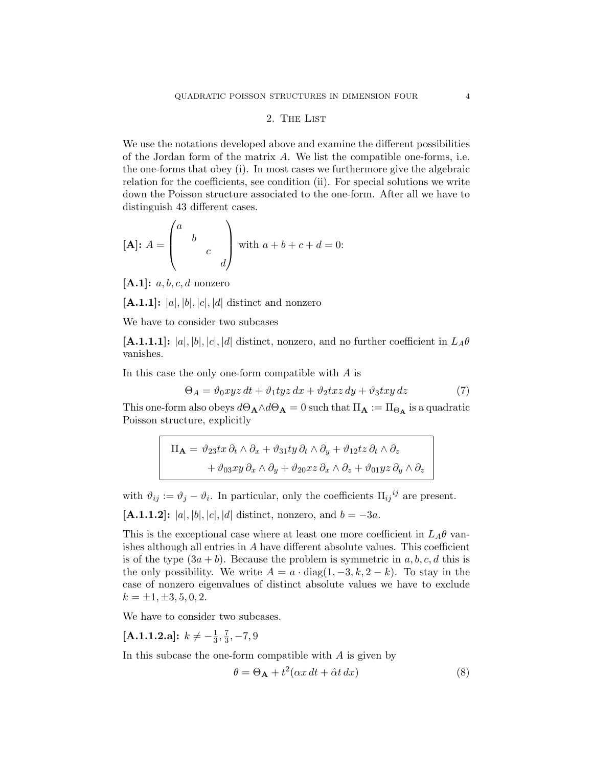#### 2. The List

We use the notations developed above and examine the different possibilities of the Jordan form of the matrix A. We list the compatible one-forms, i.e. the one-forms that obey (i). In most cases we furthermore give the algebraic relation for the coefficients, see condition (ii). For special solutions we write down the Poisson structure associated to the one-form. After all we have to distinguish 43 different cases.

$$
[\mathbf{A}]: A = \begin{pmatrix} a & & \\ & b & \\ & & c & \\ & & & d \end{pmatrix} \text{ with } a + b + c + d = 0:
$$

 $[A.1]: a, b, c, d$  nonzero

 $[A.1.1]: |a|, |b|, |c|, |d|$  distinct and nonzero

We have to consider two subcases

[A.1.1.1]: |a|, |b|, |c|, |d| distinct, nonzero, and no further coefficient in  $L_A\theta$ vanishes.

In this case the only one-form compatible with A is

$$
\Theta_A = \vartheta_0 xyz dt + \vartheta_1 t y z dx + \vartheta_2 t x z dy + \vartheta_3 t x y dz \tag{7}
$$

This one-form also obeys  $d\Theta_{\bf A} \wedge d\Theta_{\bf A} = 0$  such that  $\Pi_{\bf A} := \Pi_{\Theta_{\bf A}}$  is a quadratic Poisson structure, explicitly

$$
\Pi_{\mathbf{A}} = \vartheta_{23}tx \, \partial_t \wedge \partial_x + \vartheta_{31}ty \, \partial_t \wedge \partial_y + \vartheta_{12}tz \, \partial_t \wedge \partial_z + \vartheta_{03}xy \, \partial_x \wedge \partial_y + \vartheta_{20}xz \, \partial_x \wedge \partial_z + \vartheta_{01}yz \, \partial_y \wedge \partial_z
$$

with  $\vartheta_{ij} := \vartheta_j - \vartheta_i$ . In particular, only the coefficients  $\Pi_{ij}^{ij}$  are present.

[**A.1.1.2**]:  $|a|, |b|, |c|, |d|$  distinct, nonzero, and  $b = -3a$ .

This is the exceptional case where at least one more coefficient in  $L_A\theta$  vanishes although all entries in A have different absolute values. This coefficient is of the type  $(3a + b)$ . Because the problem is symmetric in a, b, c, d this is the only possibility. We write  $A = a \cdot diag(1, -3, k, 2 - k)$ . To stay in the case of nonzero eigenvalues of distinct absolute values we have to exclude  $k = \pm 1, \pm 3, 5, 0, 2.$ 

We have to consider two subcases.

$$
[\mathbf{A.1.1.2. a}]: k \neq -\frac{1}{3}, \frac{7}{3}, -7, 9
$$

In this subcase the one-form compatible with  $A$  is given by

$$
\theta = \Theta_{\mathbf{A}} + t^2 (\alpha x \, dt + \hat{\alpha} t \, dx) \tag{8}
$$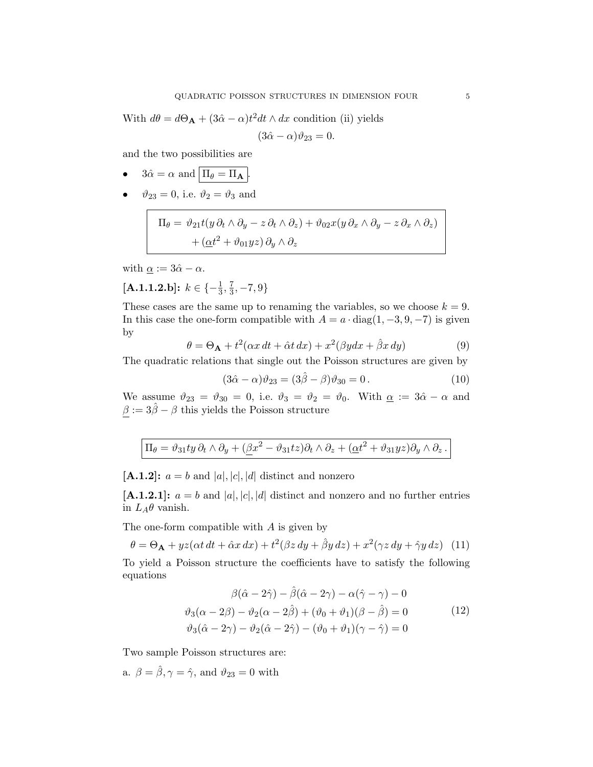With  $d\theta = d\Theta_{\mathbf{A}} + (3\hat{\alpha} - \alpha)t^2 dt \wedge dx$  condition (ii) yields

$$
(3\hat{\alpha} - \alpha)\vartheta_{23} = 0.
$$

and the two possibilities are

- $3\hat{\alpha} = \alpha$  and  $\boxed{\Pi_{\theta} = \Pi_{\mathbf{A}}}$ .
- $\vartheta_{23} = 0$ , i.e.  $\vartheta_2 = \vartheta_3$  and

$$
\Pi_{\theta} = \vartheta_{21} t (y \, \partial_t \wedge \partial_y - z \, \partial_t \wedge \partial_z) + \vartheta_{02} x (y \, \partial_x \wedge \partial_y - z \, \partial_x \wedge \partial_z) \n+ (\underline{\alpha} t^2 + \vartheta_{01} y z) \, \partial_y \wedge \partial_z
$$

with  $\underline{\alpha} := 3\hat{\alpha} - \alpha$ .

$$
[\mathbf{A.1.1.2.b}]: k \in \{-\frac{1}{3}, \frac{7}{3}, -7, 9\}
$$

These cases are the same up to renaming the variables, so we choose  $k = 9$ . In this case the one-form compatible with  $A = a \cdot diag(1, -3, 9, -7)$  is given by

$$
\theta = \Theta_{\mathbf{A}} + t^2(\alpha x \, dt + \hat{\alpha} t \, dx) + x^2(\beta y dx + \hat{\beta} x \, dy) \tag{9}
$$

The quadratic relations that single out the Poisson structures are given by

$$
(3\hat{\alpha} - \alpha)\vartheta_{23} = (3\hat{\beta} - \beta)\vartheta_{30} = 0.
$$
 (10)

We assume  $\vartheta_{23} = \vartheta_{30} = 0$ , i.e.  $\vartheta_3 = \vartheta_2 = \vartheta_0$ . With  $\underline{\alpha} := 3\hat{\alpha} - \alpha$  and  $\beta:=3\hat{\beta}-\beta$  this yields the Poisson structure

$$
\boxed{\Pi_\theta = \vartheta_{31} t y \, \partial_t \wedge \partial_y + (\underline{\beta} x^2 - \vartheta_{31} t z) \partial_t \wedge \partial_z + (\underline{\alpha} t^2 + \vartheta_{31} y z) \partial_y \wedge \partial_z}.
$$

[A.1.2]:  $a = b$  and  $|a|, |c|, |d|$  distinct and nonzero

[A.1.2.1]:  $a = b$  and |a|, |c|, |d| distinct and nonzero and no further entries in  $L_A\theta$  vanish.

The one-form compatible with  $A$  is given by

$$
\theta = \Theta_{\mathbf{A}} + yz(\alpha t \, dt + \hat{\alpha} x \, dx) + t^2(\beta z \, dy + \hat{\beta} y \, dz) + x^2(\gamma z \, dy + \hat{\gamma} y \, dz)
$$
 (11)

<span id="page-4-0"></span>To yield a Poisson structure the coefficients have to satisfy the following equations

$$
\beta(\hat{\alpha} - 2\hat{\gamma}) - \hat{\beta}(\hat{\alpha} - 2\gamma) - \alpha(\hat{\gamma} - \gamma) - 0
$$
  

$$
\vartheta_3(\alpha - 2\beta) - \vartheta_2(\alpha - 2\hat{\beta}) + (\vartheta_0 + \vartheta_1)(\beta - \hat{\beta}) = 0
$$
  

$$
\vartheta_3(\hat{\alpha} - 2\gamma) - \vartheta_2(\hat{\alpha} - 2\hat{\gamma}) - (\vartheta_0 + \vartheta_1)(\gamma - \hat{\gamma}) = 0
$$
\n(12)

Two sample Poisson structures are:

a.  $\beta = \hat{\beta}, \gamma = \hat{\gamma}$ , and  $\vartheta_{23} = 0$  with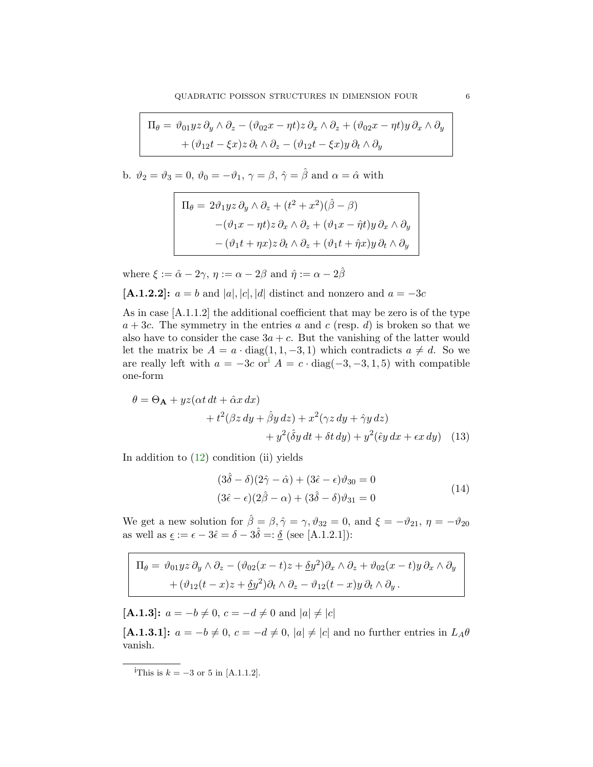$$
\Pi_{\theta} = \vartheta_{01} yz \, \partial_y \wedge \partial_z - (\vartheta_{02} x - \eta t) z \, \partial_x \wedge \partial_z + (\vartheta_{02} x - \eta t) y \, \partial_x \wedge \partial_y
$$

$$
+ (\vartheta_{12} t - \xi x) z \, \partial_t \wedge \partial_z - (\vartheta_{12} t - \xi x) y \, \partial_t \wedge \partial_y
$$

b.  $\vartheta_2 = \vartheta_3 = 0, \vartheta_0 = -\vartheta_1, \gamma = \beta, \hat{\gamma} = \hat{\beta}$  and  $\alpha = \hat{\alpha}$  with

$$
\Pi_{\theta} = 2\vartheta_1 y z \, \partial_y \wedge \partial_z + (t^2 + x^2)(\hat{\beta} - \beta)
$$

$$
-(\vartheta_1 x - \eta t) z \, \partial_x \wedge \partial_z + (\vartheta_1 x - \hat{\eta} t) y \, \partial_x \wedge \partial_y
$$

$$
-(\vartheta_1 t + \eta x) z \, \partial_t \wedge \partial_z + (\vartheta_1 t + \hat{\eta} x) y \, \partial_t \wedge \partial_y
$$

where  $\xi := \hat{\alpha} - 2\gamma$ ,  $\eta := \alpha - 2\beta$  and  $\hat{\eta} := \alpha - 2\hat{\beta}$ 

[A.1.2.2]:  $a = b$  and  $|a|, |c|, |d|$  distinct and nonzero and  $a = -3c$ 

As in case [A.1.1.2] the additional coefficient that may be zero is of the type  $a + 3c$ . The symmetry in the entries a and c (resp. d) is broken so that we also have to consider the case  $3a + c$ . But the vanishing of the latter would let the matrix be  $A = a \cdot diag(1, 1, -3, 1)$  which contradicts  $a \neq d$ . So we are really left w[i](#page-5-0)th  $a = -3c$  or  $A = c \cdot diag(-3, -3, 1, 5)$  with compatible one-form

$$
\theta = \Theta_{\mathbf{A}} + yz(\alpha t \, dt + \hat{\alpha} x \, dx) \n+ t^2(\beta z \, dy + \hat{\beta} y \, dz) + x^2(\gamma z \, dy + \hat{\gamma} y \, dz) \n+ y^2(\hat{\delta} y \, dt + \delta t \, dy) + y^2(\hat{\epsilon} y \, dx + \epsilon x \, dy)
$$
\n(13)

In addition to  $(12)$  condition  $(ii)$  yields

$$
(3\hat{\delta} - \delta)(2\hat{\gamma} - \hat{\alpha}) + (3\hat{\epsilon} - \epsilon)\vartheta_{30} = 0
$$
  

$$
(3\hat{\epsilon} - \epsilon)(2\hat{\beta} - \alpha) + (3\hat{\delta} - \delta)\vartheta_{31} = 0
$$
 (14)

We get a new solution for  $\hat{\beta} = \beta, \hat{\gamma} = \gamma, \vartheta_{32} = 0$ , and  $\xi = -\vartheta_{21}, \eta = -\vartheta_{20}$ as well as  $\underline{\epsilon} := \epsilon - 3\hat{\epsilon} = \delta - 3\hat{\delta} =: \underline{\delta}$  (see [A.1.2.1]):

$$
\Pi_{\theta} = \vartheta_{01} y z \, \partial_y \wedge \partial_z - (\vartheta_{02} (x - t) z + \underline{\delta} y^2) \partial_x \wedge \partial_z + \vartheta_{02} (x - t) y \, \partial_x \wedge \partial_y
$$

$$
+ (\vartheta_{12} (t - x) z + \underline{\delta} y^2) \partial_t \wedge \partial_z - \vartheta_{12} (t - x) y \, \partial_t \wedge \partial_y.
$$

[**A.1.3**]:  $a = -b \neq 0$ ,  $c = -d \neq 0$  and  $|a| \neq |c|$ 

[A.1.3.1]:  $a = -b \neq 0$ ,  $c = -d \neq 0$ ,  $|a| \neq |c|$  and no further entries in  $L_A\theta$ vanish.

<span id="page-5-0"></span><sup>&</sup>lt;sup>i</sup>This is  $k = -3$  or 5 in [A.1.1.2].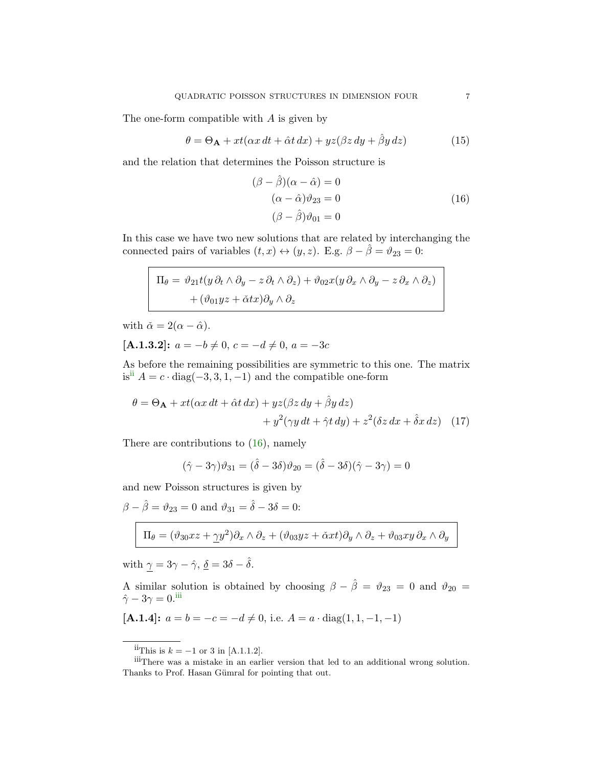The one-form compatible with  $A$  is given by

$$
\theta = \Theta_{\mathbf{A}} + xt(\alpha x \, dt + \hat{\alpha} t \, dx) + yz(\beta z \, dy + \hat{\beta} y \, dz) \tag{15}
$$

<span id="page-6-1"></span>and the relation that determines the Poisson structure is

$$
(\beta - \hat{\beta})(\alpha - \hat{\alpha}) = 0
$$
  
\n
$$
(\alpha - \hat{\alpha})\vartheta_{23} = 0
$$
  
\n
$$
(\beta - \hat{\beta})\vartheta_{01} = 0
$$
\n(16)

In this case we have two new solutions that are related by interchanging the connected pairs of variables  $(t, x) \leftrightarrow (y, z)$ . E.g.  $\beta - \hat{\beta} = \vartheta_{23} = 0$ :

$$
\Pi_{\theta} = \vartheta_{21} t (y \, \partial_t \wedge \partial_y - z \, \partial_t \wedge \partial_z) + \vartheta_{02} x (y \, \partial_x \wedge \partial_y - z \, \partial_x \wedge \partial_z) + (\vartheta_{01} y z + \check{\alpha} t x) \partial_y \wedge \partial_z
$$

with  $\check{\alpha} = 2(\alpha - \hat{\alpha}).$ 

$$
[A.1.3.2]:  $a = -b \neq 0, c = -d \neq 0, a = -3c$
$$

As before the remaining possibilities are symmetric to this one. The matrix is<sup>[ii](#page-6-0)</sup>  $A = c \cdot diag(-3, 3, 1, -1)$  and the compatible one-form

$$
\theta = \Theta_{\mathbf{A}} + xt(\alpha x dt + \hat{\alpha} t dx) + yz(\beta z dy + \hat{\beta} y dz) + y^2(\gamma y dt + \hat{\gamma} t dy) + z^2(\delta z dx + \hat{\delta} x dz)
$$
 (17)

There are contributions to [\(16\)](#page-6-1), namely

$$
(\hat{\gamma} - 3\gamma)\vartheta_{31} = (\hat{\delta} - 3\delta)\vartheta_{20} = (\hat{\delta} - 3\delta)(\hat{\gamma} - 3\gamma) = 0
$$

and new Poisson structures is given by

 $\beta-\hat{\beta}=\vartheta_{23}=0$  and  $\vartheta_{31}=\hat{\delta}-3\delta=0:$ 

$$
\Pi_{\theta}=(\vartheta_{30} xz+\underline{\gamma} y^2)\partial_x\wedge \partial_z+(\vartheta_{03} yz+\check\alpha x t)\partial_y\wedge \partial_z+\vartheta_{03} xy\,\partial_x\wedge \partial_y
$$

with  $\gamma = 3\gamma - \hat{\gamma}, \, \underline{\delta} = 3\delta - \hat{\delta}.$ 

A similar solution is obtained by choosing  $\beta - \hat{\beta} = \vartheta_{23} = 0$  and  $\vartheta_{20} =$  $\hat{\gamma}-3\gamma=0.$ <sup>[iii](#page-6-2)</sup>

$$
[A.1.4]:  $a = b = -c = -d \neq 0$ , i.e.  $A = a \cdot diag(1, 1, -1, -1)$
$$

<span id="page-6-2"></span><span id="page-6-0"></span> $i$ <sup>i</sup>This is  $k = -1$  or 3 in [A.1.1.2].

iiiThere was a mistake in an earlier version that led to an additional wrong solution. Thanks to Prof. Hasan Gümral for pointing that out.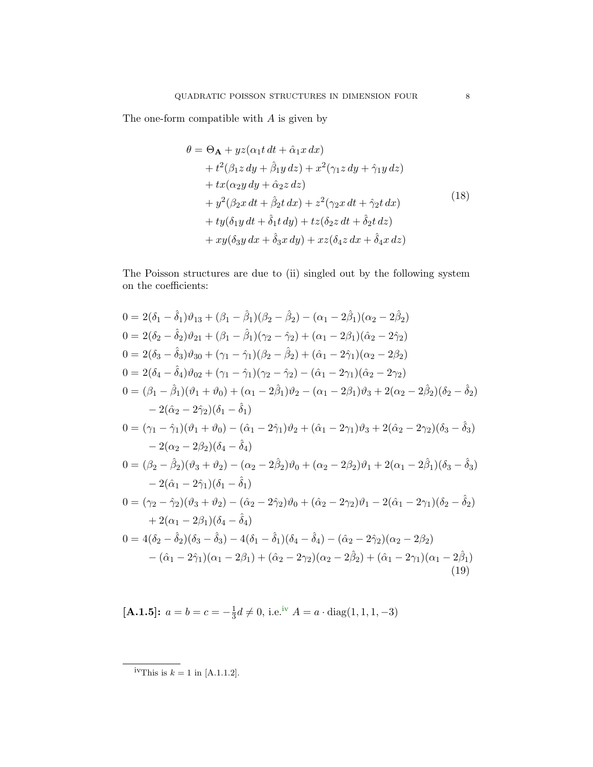The one-form compatible with  $A$  is given by

$$
\theta = \Theta_{\mathbf{A}} + yz(\alpha_1 t dt + \hat{\alpha}_1 x dx)
$$
  
+  $t^2(\beta_1 z dy + \hat{\beta}_1 y dz) + x^2(\gamma_1 z dy + \hat{\gamma}_1 y dz)$   
+  $tx(\alpha_2 y dy + \hat{\alpha}_2 z dz)$   
+  $y^2(\beta_2 x dt + \hat{\beta}_2 t dx) + z^2(\gamma_2 x dt + \hat{\gamma}_2 t dx)$   
+  $ty(\delta_1 y dt + \hat{\delta}_1 t dy) + tz(\delta_2 z dt + \hat{\delta}_2 t dz)$   
+  $xy(\delta_3 y dx + \hat{\delta}_3 x dy) + xz(\delta_4 z dx + \hat{\delta}_4 x dz)$  (18)

The Poisson structures are due to (ii) singled out by the following system on the coefficients:

$$
0 = 2(\delta_1 - \hat{\delta}_1)\vartheta_{13} + (\beta_1 - \hat{\beta}_1)(\beta_2 - \hat{\beta}_2) - (\alpha_1 - 2\hat{\beta}_1)(\alpha_2 - 2\hat{\beta}_2)
$$
  
\n
$$
0 = 2(\delta_2 - \hat{\delta}_2)\vartheta_{21} + (\beta_1 - \hat{\beta}_1)(\gamma_2 - \hat{\gamma}_2) + (\alpha_1 - 2\beta_1)(\hat{\alpha}_2 - 2\hat{\gamma}_2)
$$
  
\n
$$
0 = 2(\delta_3 - \hat{\delta}_3)\vartheta_{30} + (\gamma_1 - \hat{\gamma}_1)(\beta_2 - \hat{\beta}_2) + (\hat{\alpha}_1 - 2\hat{\gamma}_1)(\alpha_2 - 2\beta_2)
$$
  
\n
$$
0 = 2(\delta_4 - \hat{\delta}_4)\vartheta_{02} + (\gamma_1 - \hat{\gamma}_1)(\gamma_2 - \hat{\gamma}_2) - (\hat{\alpha}_1 - 2\gamma_1)(\hat{\alpha}_2 - 2\gamma_2)
$$
  
\n
$$
0 = (\beta_1 - \hat{\beta}_1)(\vartheta_1 + \vartheta_0) + (\alpha_1 - 2\hat{\beta}_1)\vartheta_2 - (\alpha_1 - 2\beta_1)\vartheta_3 + 2(\alpha_2 - 2\hat{\beta}_2)(\delta_2 - \hat{\delta}_2)
$$
  
\n
$$
- 2(\hat{\alpha}_2 - 2\hat{\gamma}_2)(\delta_1 - \hat{\delta}_1)
$$
  
\n
$$
0 = (\gamma_1 - \hat{\gamma}_1)(\vartheta_1 + \vartheta_0) - (\hat{\alpha}_1 - 2\hat{\gamma}_1)\vartheta_2 + (\hat{\alpha}_1 - 2\gamma_1)\vartheta_3 + 2(\hat{\alpha}_2 - 2\gamma_2)(\delta_3 - \hat{\delta}_3)
$$
  
\n
$$
- 2(\alpha_2 - 2\beta_2)(\delta_4 - \hat{\delta}_4)
$$
  
\n
$$
0 = (\beta_2 - \hat{\beta}_2)(\vartheta_3 + \vartheta_2) - (\alpha_2 - 2\hat{\beta}_2)\vartheta_0 + (\alpha_2 - 2\beta_2)\vartheta_1 + 2(\alpha_1 - 2\hat{\beta}_1)(\delta_3 - \hat{\delta}_3)
$$
  
\n
$$
- 2(\hat{\alpha}_1 - 2\hat{\gamma}_1)(\delta
$$

 $[A.1.5]$ :  $a = b = c = -\frac{1}{3}$  $\frac{1}{3}d \neq 0$ , i.e.<sup>[iv](#page-7-0)</sup>  $A = a \cdot diag(1, 1, 1, -3)$ 

<span id="page-7-0"></span>iv<sub>This</sub> is  $k = 1$  in [A.1.1.2].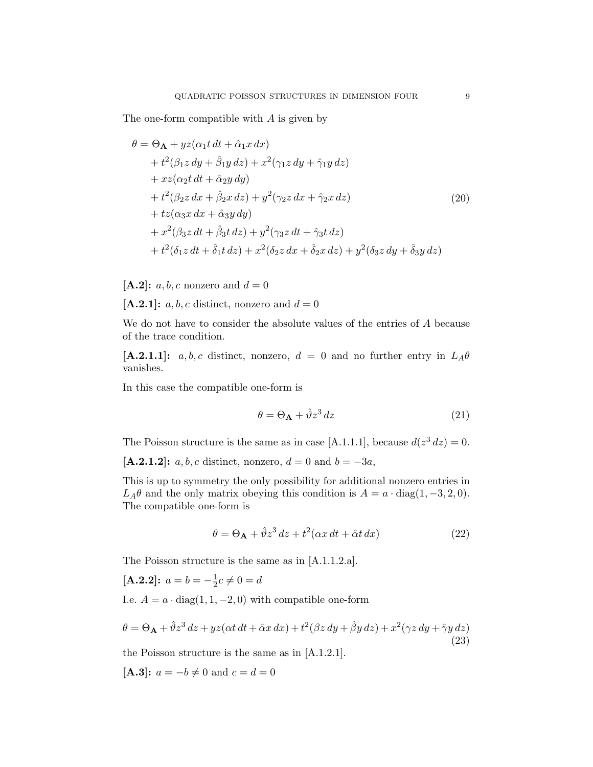The one-form compatible with  $A$  is given by

$$
\theta = \Theta_{\mathbf{A}} + yz(\alpha_1 t dt + \hat{\alpha}_1 x dx)
$$
  
+  $t^2(\beta_1 z dy + \hat{\beta}_1 y dz) + x^2(\gamma_1 z dy + \hat{\gamma}_1 y dz)$   
+  $xz(\alpha_2 t dt + \hat{\alpha}_2 y dy)$   
+  $t^2(\beta_2 z dx + \hat{\beta}_2 x dz) + y^2(\gamma_2 z dx + \hat{\gamma}_2 x dz)$  (20)  
+  $tz(\alpha_3 x dx + \hat{\alpha}_3 y dy)$   
+  $x^2(\beta_3 z dt + \hat{\beta}_3 t dz) + y^2(\gamma_3 z dt + \hat{\gamma}_3 t dz)$   
+  $t^2(\delta_1 z dt + \hat{\delta}_1 t dz) + x^2(\delta_2 z dx + \hat{\delta}_2 x dz) + y^2(\delta_3 z dy + \hat{\delta}_3 y dz)$ 

 $[A.2]$ : a, b, c nonzero and  $d = 0$ 

[A.2.1]:  $a, b, c$  distinct, nonzero and  $d = 0$ 

We do not have to consider the absolute values of the entries of A because of the trace condition.

[A.2.1.1]: a, b, c distinct, nonzero,  $d = 0$  and no further entry in  $L_A\theta$ vanishes.

In this case the compatible one-form is

$$
\theta = \Theta_{\mathbf{A}} + \hat{\vartheta} z^3 \, dz \tag{21}
$$

The Poisson structure is the same as in case [A.1.1.1], because  $d(z^3 dz) = 0$ .

[A.2.1.2]:  $a, b, c$  distinct, nonzero,  $d = 0$  and  $b = -3a$ ,

This is up to symmetry the only possibility for additional nonzero entries in  $L_A\theta$  and the only matrix obeying this condition is  $A = a \cdot diag(1, -3, 2, 0)$ . The compatible one-form is

$$
\theta = \Theta_{\mathbf{A}} + \hat{\vartheta} z^3 \, dz + t^2 (\alpha x \, dt + \hat{\alpha} t \, dx) \tag{22}
$$

The Poisson structure is the same as in [A.1.1.2.a].

 $[A.2.2]: a = b = -\frac{1}{2}$  $\frac{1}{2}c \neq 0 = d$ 

I.e.  $A = a \cdot diag(1, 1, -2, 0)$  with compatible one-form

$$
\theta = \Theta_{\mathbf{A}} + \hat{\vartheta} z^3 \, dz + yz(\alpha t \, dt + \hat{\alpha} x \, dx) + t^2(\beta z \, dy + \hat{\beta} y \, dz) + x^2(\gamma z \, dy + \hat{\gamma} y \, dz)
$$
\n(23)

the Poisson structure is the same as in [A.1.2.1].

[**A.3**]:  $a = -b \neq 0$  and  $c = d = 0$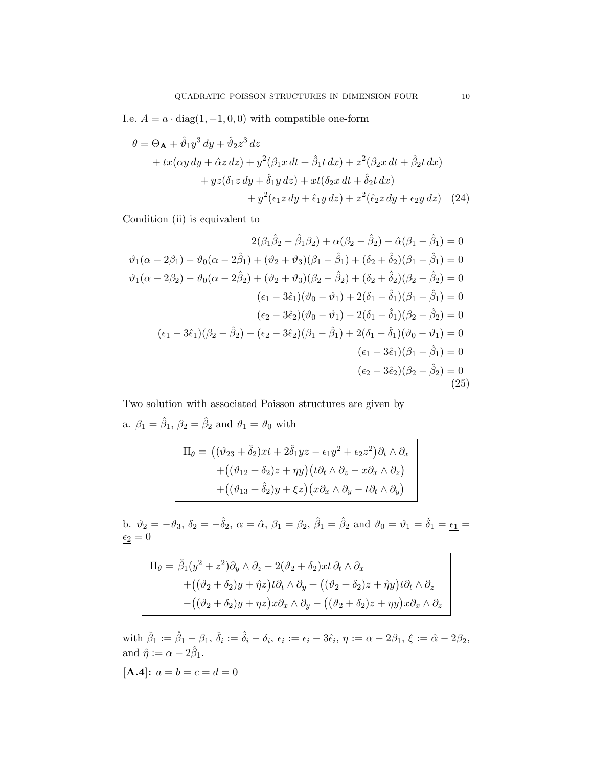I.e.  $A = a \cdot diag(1, -1, 0, 0)$  with compatible one-form

$$
\theta = \Theta_{\mathbf{A}} + \hat{\vartheta}_1 y^3 \, dy + \hat{\vartheta}_2 z^3 \, dz
$$
  
+  $tx(\alpha y \, dy + \hat{\alpha} z \, dz) + y^2(\beta_1 x \, dt + \hat{\beta}_1 t \, dx) + z^2(\beta_2 x \, dt + \hat{\beta}_2 t \, dx)$   
+  $yz(\delta_1 z \, dy + \hat{\delta}_1 y \, dz) + xt(\delta_2 x \, dt + \hat{\delta}_2 t \, dx)$   
+  $y^2(\epsilon_1 z \, dy + \hat{\epsilon}_1 y \, dz) + z^2(\hat{\epsilon}_2 z \, dy + \epsilon_2 y \, dz)$  (24)

Condition (ii) is equivalent to

$$
2(\beta_1 \hat{\beta}_2 - \hat{\beta}_1 \beta_2) + \alpha(\beta_2 - \hat{\beta}_2) - \hat{\alpha}(\beta_1 - \hat{\beta}_1) = 0
$$
  
\n
$$
\vartheta_1(\alpha - 2\beta_1) - \vartheta_0(\alpha - 2\hat{\beta}_1) + (\vartheta_2 + \vartheta_3)(\beta_1 - \hat{\beta}_1) + (\delta_2 + \hat{\delta}_2)(\beta_1 - \hat{\beta}_1) = 0
$$
  
\n
$$
\vartheta_1(\alpha - 2\beta_2) - \vartheta_0(\alpha - 2\hat{\beta}_2) + (\vartheta_2 + \vartheta_3)(\beta_2 - \hat{\beta}_2) + (\delta_2 + \hat{\delta}_2)(\beta_2 - \hat{\beta}_2) = 0
$$
  
\n
$$
(\epsilon_1 - 3\hat{\epsilon}_1)(\vartheta_0 - \vartheta_1) + 2(\delta_1 - \hat{\delta}_1)(\beta_1 - \hat{\beta}_1) = 0
$$
  
\n
$$
(\epsilon_2 - 3\hat{\epsilon}_2)(\vartheta_0 - \vartheta_1) - 2(\delta_1 - \hat{\delta}_1)(\beta_2 - \hat{\beta}_2) = 0
$$
  
\n
$$
(\epsilon_1 - 3\hat{\epsilon}_1)(\beta_2 - \hat{\beta}_2) - (\epsilon_2 - 3\hat{\epsilon}_2)(\beta_1 - \hat{\beta}_1) + 2(\delta_1 - \hat{\delta}_1)(\vartheta_0 - \vartheta_1) = 0
$$
  
\n
$$
(\epsilon_1 - 3\hat{\epsilon}_1)(\beta_1 - \hat{\beta}_1) = 0
$$
  
\n
$$
(\epsilon_2 - 3\hat{\epsilon}_2)(\beta_2 - \hat{\beta}_2) = 0
$$
  
\n
$$
(\epsilon_2 - 3\hat{\epsilon}_2)(\beta_2 - \hat{\beta}_2) = 0
$$
  
\n(25)

Two solution with associated Poisson structures are given by

a.  $\beta_1 = \hat{\beta}_1$ ,  $\beta_2 = \hat{\beta}_2$  and  $\vartheta_1 = \vartheta_0$  with

$$
\Pi_{\theta} = ((\vartheta_{23} + \check{\delta}_{2})xt + 2\check{\delta}_{1}yz - \underline{\epsilon_{1}}y^{2} + \underline{\epsilon_{2}}z^{2})\partial_{t} \wedge \partial_{x}
$$

$$
+ ((\vartheta_{12} + \delta_{2})z + \eta y)(t\partial_{t} \wedge \partial_{z} - x\partial_{x} \wedge \partial_{z})
$$

$$
+ ((\vartheta_{13} + \hat{\delta}_{2})y + \xi z)(x\partial_{x} \wedge \partial_{y} - t\partial_{t} \wedge \partial_{y})
$$

b.  $\vartheta_2 = -\vartheta_3$ ,  $\delta_2 = -\hat{\delta}_2$ ,  $\alpha = \hat{\alpha}$ ,  $\beta_1 = \beta_2$ ,  $\hat{\beta}_1 = \hat{\beta}_2$  and  $\vartheta_0 = \vartheta_1 = \check{\delta}_1 = \underline{\epsilon_1} =$  $\epsilon_2 = 0$ 

$$
\Pi_{\theta} = \check{\beta}_{1}(y^{2} + z^{2})\partial_{y} \wedge \partial_{z} - 2(\vartheta_{2} + \delta_{2})xt \partial_{t} \wedge \partial_{x}
$$
  
+
$$
((\vartheta_{2} + \delta_{2})y + \hat{\eta}z)t\partial_{t} \wedge \partial_{y} + ((\vartheta_{2} + \delta_{2})z + \hat{\eta}y)t\partial_{t} \wedge \partial_{z}
$$
  
-
$$
((\vartheta_{2} + \delta_{2})y + \eta z)x\partial_{x} \wedge \partial_{y} - ((\vartheta_{2} + \delta_{2})z + \eta y)x\partial_{x} \wedge \partial_{z}
$$

with  $\check{\beta}_1 := \hat{\beta}_1 - \beta_1$ ,  $\check{\delta}_i := \hat{\delta}_i - \delta_i$ ,  $\epsilon_i := \epsilon_i - 3\hat{\epsilon}_i$ ,  $\eta := \alpha - 2\beta_1$ ,  $\xi := \hat{\alpha} - 2\beta_2$ , and  $\hat{\eta} := \alpha - 2\hat{\beta}_1$ .

$$
[A.4]: a = b = c = d = 0
$$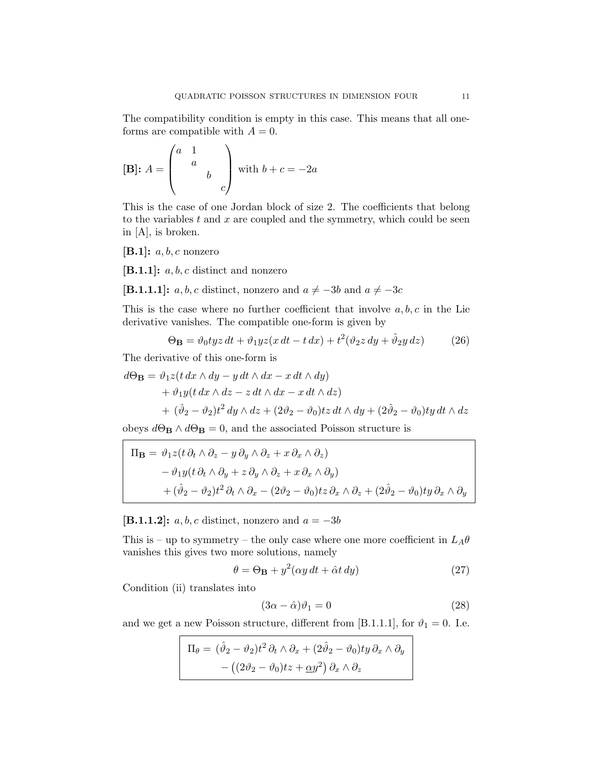The compatibility condition is empty in this case. This means that all oneforms are compatible with  $A = 0$ .

$$
[\mathbf{B}]: A = \begin{pmatrix} a & 1 \\ & a \\ & & b \\ & & c \end{pmatrix} \text{ with } b + c = -2a
$$

This is the case of one Jordan block of size 2. The coefficients that belong to the variables  $t$  and  $x$  are coupled and the symmetry, which could be seen in [A], is broken.

 $[B.1]: a, b, c$  nonzero

 $[B.1.1]: a, b, c$  distinct and nonzero

[B.1.1.1]:  $a, b, c$  distinct, nonzero and  $a \neq -3b$  and  $a \neq -3c$ 

This is the case where no further coefficient that involve  $a, b, c$  in the Lie derivative vanishes. The compatible one-form is given by

$$
\Theta_{\mathbf{B}} = \vartheta_0 t y z dt + \vartheta_1 y z (x dt - t dx) + t^2 (\vartheta_2 z dy + \hat{\vartheta}_2 y dz)
$$
 (26)

The derivative of this one-form is

$$
d\Theta_{\mathbf{B}} = \vartheta_1 z (t dx \wedge dy - y dt \wedge dx - x dt \wedge dy)
$$
  
+  $\vartheta_1 y (t dx \wedge dz - z dt \wedge dx - x dt \wedge dz)$   
+  $(\hat{\vartheta}_2 - \vartheta_2) t^2 dy \wedge dz + (2\vartheta_2 - \vartheta_0) tz dt \wedge dy + (2\hat{\vartheta}_2 - \vartheta_0) ty dt \wedge dz$ 

obeys  $d\Theta_{\mathbf{B}} \wedge d\Theta_{\mathbf{B}} = 0$ , and the associated Poisson structure is

$$
\Pi_{\mathbf{B}} = \vartheta_1 z (t \partial_t \wedge \partial_z - y \partial_y \wedge \partial_z + x \partial_x \wedge \partial_z) \n- \vartheta_1 y (t \partial_t \wedge \partial_y + z \partial_y \wedge \partial_z + x \partial_x \wedge \partial_y) \n+ (\vartheta_2 - \vartheta_2) t^2 \partial_t \wedge \partial_x - (2 \vartheta_2 - \vartheta_0) t z \partial_x \wedge \partial_z + (2 \vartheta_2 - \vartheta_0) t y \partial_x \wedge \partial_y
$$

[B.1.1.2]:  $a, b, c$  distinct, nonzero and  $a = -3b$ 

This is – up to symmetry – the only case where one more coefficient in  $L_A\theta$ vanishes this gives two more solutions, namely

$$
\theta = \Theta_{\mathbf{B}} + y^2 (\alpha y \, dt + \hat{\alpha} t \, dy) \tag{27}
$$

Condition (ii) translates into

$$
(3\alpha - \hat{\alpha})\vartheta_1 = 0\tag{28}
$$

and we get a new Poisson structure, different from [B.1.1.1], for  $\vartheta_1 = 0$ . I.e.

$$
\Pi_{\theta} = (\hat{\vartheta}_2 - \vartheta_2)t^2 \, \partial_t \wedge \partial_x + (2\hat{\vartheta}_2 - \vartheta_0)t y \, \partial_x \wedge \partial_y
$$

$$
- ((2\vartheta_2 - \vartheta_0)t z + \underline{\alpha} y^2) \, \partial_x \wedge \partial_z
$$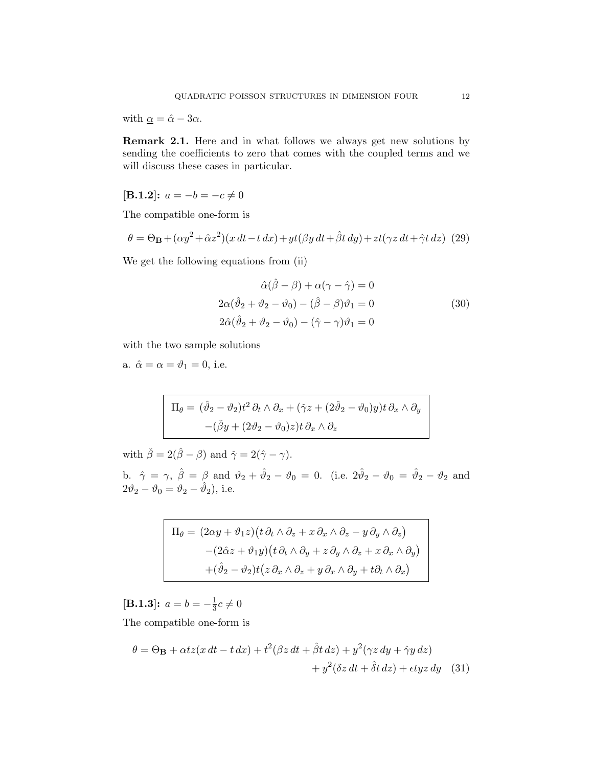with  $\underline{\alpha} = \hat{\alpha} - 3\alpha$ .

Remark 2.1. Here and in what follows we always get new solutions by sending the coefficients to zero that comes with the coupled terms and we will discuss these cases in particular.

[**B.1.2**]:  $a = -b = -c \neq 0$ 

The compatible one-form is

$$
\theta = \Theta_{\mathbf{B}} + (\alpha y^2 + \hat{\alpha} z^2)(x dt - t dx) + yt(\beta y dt + \hat{\beta} t dy) + zt(\gamma z dt + \hat{\gamma} t dz)
$$
 (29)

We get the following equations from (ii)

$$
\hat{\alpha}(\hat{\beta} - \beta) + \alpha(\gamma - \hat{\gamma}) = 0
$$
  
2\alpha(\hat{\vartheta}\_2 + \vartheta\_2 - \vartheta\_0) - (\hat{\beta} - \beta)\vartheta\_1 = 0  
2\hat{\alpha}(\hat{\vartheta}\_2 + \vartheta\_2 - \vartheta\_0) - (\hat{\gamma} - \gamma)\vartheta\_1 = 0 (30)

with the two sample solutions

a.  $\hat{\alpha} = \alpha = \vartheta_1 = 0$ , i.e.

$$
\Pi_{\theta} = (\hat{\vartheta}_2 - \vartheta_2)t^2 \, \partial_t \wedge \partial_x + (\check{\gamma}z + (2\hat{\vartheta}_2 - \vartheta_0)y)t \, \partial_x \wedge \partial_y
$$

$$
-(\check{\beta}y + (2\vartheta_2 - \vartheta_0)z)t \, \partial_x \wedge \partial_z
$$

with  $\check{\beta} = 2(\hat{\beta} - \beta)$  and  $\check{\gamma} = 2(\hat{\gamma} - \gamma)$ .

b.  $\hat{\gamma} = \gamma$ ,  $\hat{\beta} = \beta$  and  $\vartheta_2 + \hat{\vartheta}_2 - \vartheta_0 = 0$ . (i.e.  $2\hat{\vartheta}_2 - \vartheta_0 = \hat{\vartheta}_2 - \vartheta_2$  and  $2\vartheta_2 - \vartheta_0 = \vartheta_2 - \hat{\vartheta}_2$ ), i.e.

$$
\Pi_{\theta} = (2\alpha y + \vartheta_{1} z)(t \partial_{t} \wedge \partial_{z} + x \partial_{x} \wedge \partial_{z} - y \partial_{y} \wedge \partial_{z})
$$

$$
- (2\hat{\alpha} z + \vartheta_{1} y)(t \partial_{t} \wedge \partial_{y} + z \partial_{y} \wedge \partial_{z} + x \partial_{x} \wedge \partial_{y})
$$

$$
+ (\hat{\vartheta}_{2} - \vartheta_{2}) t (z \partial_{x} \wedge \partial_{z} + y \partial_{x} \wedge \partial_{y} + t \partial_{t} \wedge \partial_{x})
$$

 $[\mathbf{B.1.3}]: a = b = -\frac{1}{3}$  $\frac{1}{3}c \neq 0$ 

The compatible one-form is

$$
\theta = \Theta_{\mathbf{B}} + \alpha t z (x dt - t dx) + t^2 (\beta z dt + \hat{\beta} t dz) + y^2 (\gamma z dy + \hat{\gamma} y dz)
$$
  
+ 
$$
y^2 (\delta z dt + \hat{\delta} t dz) + \epsilon t y z dy
$$
 (31)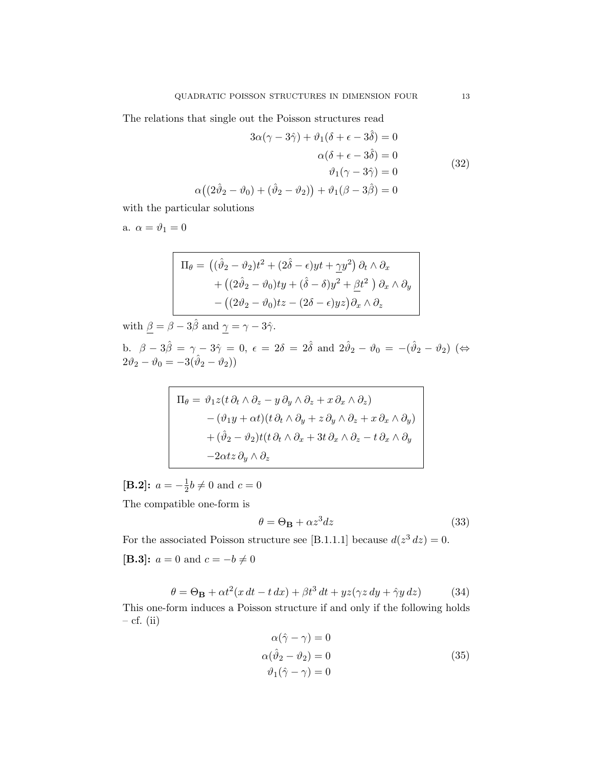The relations that single out the Poisson structures read

$$
3\alpha(\gamma - 3\hat{\gamma}) + \vartheta_1(\delta + \epsilon - 3\hat{\delta}) = 0
$$

$$
\alpha(\delta + \epsilon - 3\hat{\delta}) = 0
$$

$$
\vartheta_1(\gamma - 3\hat{\gamma}) = 0
$$

$$
((2\hat{\vartheta}_2 - \vartheta_0) + (\hat{\vartheta}_2 - \vartheta_2)) + \vartheta_1(\beta - 3\hat{\beta}) = 0
$$
 (32)

with the particular solutions

α

a.  $\alpha=\vartheta_1=0$ 

$$
\Pi_{\theta} = ((\hat{\vartheta}_2 - \vartheta_2)t^2 + (2\hat{\delta} - \epsilon)yt + \gamma y^2) \partial_t \wedge \partial_x \n+ ((2\hat{\vartheta}_2 - \vartheta_0)ty + (\hat{\delta} - \delta)y^2 + \underline{\beta}t^2) \partial_x \wedge \partial_y \n- ((2\vartheta_2 - \vartheta_0)tz - (2\delta - \epsilon)yz)\partial_x \wedge \partial_z
$$

with  $\underline{\beta} = \beta - 3\hat{\beta}$  and  $\underline{\gamma} = \gamma - 3\hat{\gamma}$ .

b.  $\beta - 3\hat{\beta} = \gamma - 3\hat{\gamma} = 0$ ,  $\epsilon = 2\delta = 2\hat{\delta}$  and  $2\hat{\vartheta}_2 - \vartheta_0 = -(\hat{\vartheta}_2 - \vartheta_2)$  ( $\Leftrightarrow$  $2\vartheta_2 - \vartheta_0 = -3(\hat{\vartheta}_2 - \vartheta_2)$ 

$$
\Pi_{\theta} = \vartheta_{1} z (t \partial_{t} \wedge \partial_{z} - y \partial_{y} \wedge \partial_{z} + x \partial_{x} \wedge \partial_{z})
$$
  
 
$$
- (\vartheta_{1} y + \alpha t) (t \partial_{t} \wedge \partial_{y} + z \partial_{y} \wedge \partial_{z} + x \partial_{x} \wedge \partial_{y})
$$
  
 
$$
+ (\vartheta_{2} - \vartheta_{2}) t (t \partial_{t} \wedge \partial_{x} + 3t \partial_{x} \wedge \partial_{z} - t \partial_{x} \wedge \partial_{y})
$$
  
 
$$
-2\alpha t z \partial_{y} \wedge \partial_{z}
$$

 $[\mathbf{B.2}]: a = -\frac{1}{2}$  $\frac{1}{2}b \neq 0$  and  $c = 0$ 

The compatible one-form is

$$
\theta = \Theta_{\mathbf{B}} + \alpha z^3 dz \tag{33}
$$

For the associated Poisson structure see [B.1.1.1] because  $d(z^3 dz) = 0$ . [**B.3**]:  $a = 0$  and  $c = -b \neq 0$ 

$$
\theta = \Theta_{\mathbf{B}} + \alpha t^2 (x dt - t dx) + \beta t^3 dt + yz (\gamma z dy + \hat{\gamma} y dz)
$$
 (34)

This one-form induces a Poisson structure if and only if the following holds  $-$  cf. (ii)

$$
\alpha(\hat{\gamma} - \gamma) = 0
$$
  
\n
$$
\alpha(\hat{\vartheta}_2 - \vartheta_2) = 0
$$
  
\n
$$
\vartheta_1(\hat{\gamma} - \gamma) = 0
$$
\n(35)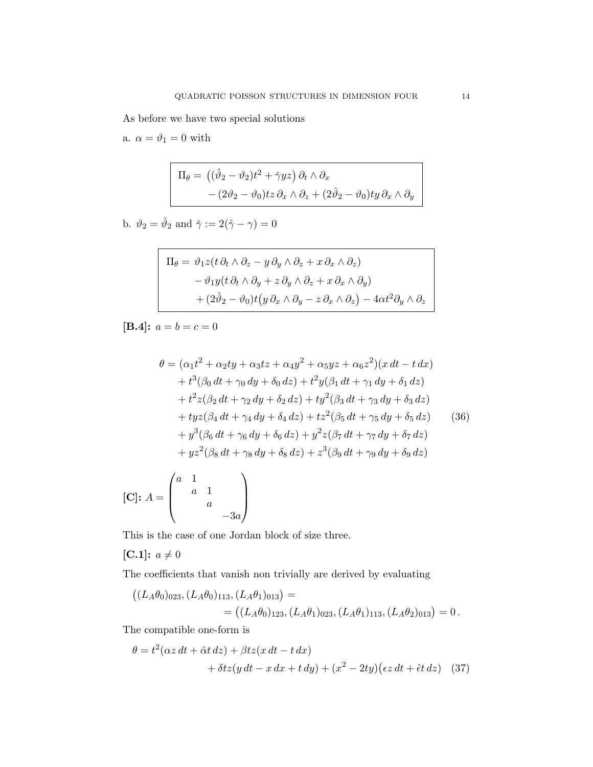As before we have two special solutions

a.  $\alpha = \vartheta_1 = 0$  with

$$
\Pi_{\theta} = ((\hat{\vartheta}_2 - \vartheta_2)t^2 + \check{\gamma}yz) \partial_t \wedge \partial_x - (2\vartheta_2 - \vartheta_0)tz \partial_x \wedge \partial_z + (2\hat{\vartheta}_2 - \vartheta_0)ty \partial_x \wedge \partial_y
$$

b.  $\vartheta_2 = \hat{\vartheta}_2$  and  $\check{\gamma} := 2(\hat{\gamma} - \gamma) = 0$ 

$$
\Pi_{\theta} = \vartheta_{1} z (t \partial_{t} \wedge \partial_{z} - y \partial_{y} \wedge \partial_{z} + x \partial_{x} \wedge \partial_{z})
$$
  

$$
- \vartheta_{1} y (t \partial_{t} \wedge \partial_{y} + z \partial_{y} \wedge \partial_{z} + x \partial_{x} \wedge \partial_{y})
$$
  

$$
+ (2\vartheta_{2} - \vartheta_{0}) t (y \partial_{x} \wedge \partial_{y} - z \partial_{x} \wedge \partial_{z}) - 4\alpha t^{2} \partial_{y} \wedge \partial_{z}
$$

[**B.4**]:  $a = b = c = 0$ 

$$
\theta = (\alpha_1 t^2 + \alpha_2 ty + \alpha_3 tz + \alpha_4 y^2 + \alpha_5 yz + \alpha_6 z^2)(x dt - t dx) \n+ t^3 (\beta_0 dt + \gamma_0 dy + \delta_0 dz) + t^2 y (\beta_1 dt + \gamma_1 dy + \delta_1 dz) \n+ t^2 z (\beta_2 dt + \gamma_2 dy + \delta_2 dz) + t y^2 (\beta_3 dt + \gamma_3 dy + \delta_3 dz) \n+ t y z (\beta_4 dt + \gamma_4 dy + \delta_4 dz) + t z^2 (\beta_5 dt + \gamma_5 dy + \delta_5 dz) \n+ y^3 (\beta_6 dt + \gamma_6 dy + \delta_6 dz) + y^2 z (\beta_7 dt + \gamma_7 dy + \delta_7 dz) \n+ y z^2 (\beta_8 dt + \gamma_8 dy + \delta_8 dz) + z^3 (\beta_9 dt + \gamma_9 dy + \delta_9 dz)
$$

 $[C]$ :  $A =$  $\sqrt{ }$  $\vert$ a 1 a 1 a  $-3a$  $\setminus$  $\Big\}$ 

This is the case of one Jordan block of size three.

$$
[\mathbf{C.1}]: a \neq 0
$$

The coefficients that vanish non trivially are derived by evaluating

$$
((L_A \theta_0)_{023}, (L_A \theta_0)_{113}, (L_A \theta_1)_{013}) =
$$
  
= ((L\_A \theta\_0)\_{123}, (L\_A \theta\_1)\_{023}, (L\_A \theta\_1)\_{113}, (L\_A \theta\_2)\_{013}) = 0.

The compatible one-form is

$$
\theta = t^2(\alpha z dt + \hat{\alpha} t dz) + \beta t z (x dt - t dx) + \delta t z (y dt - x dx + t dy) + (x^2 - 2ty) (\epsilon z dt + \hat{\epsilon} t dz)
$$
 (37)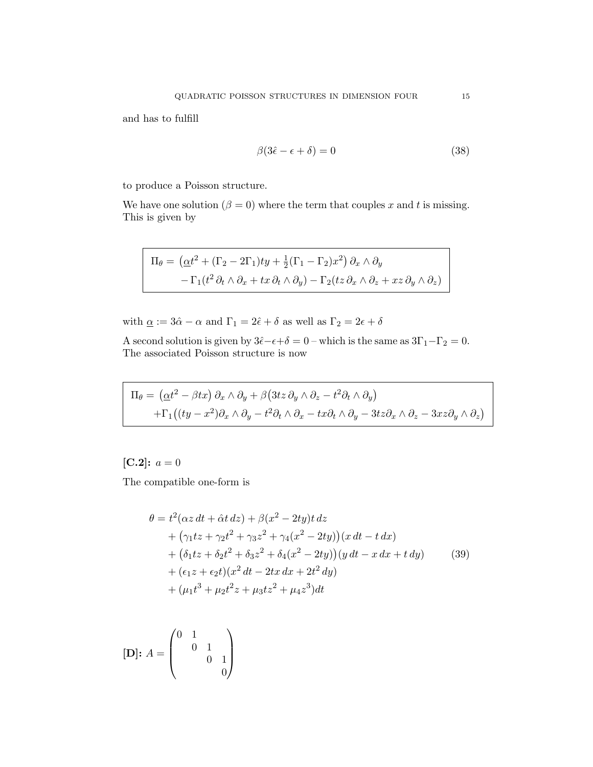and has to fulfill

$$
\beta(3\hat{\epsilon} - \epsilon + \delta) = 0 \tag{38}
$$

to produce a Poisson structure.

We have one solution ( $\beta = 0$ ) where the term that couples x and t is missing. This is given by

$$
\Pi_{\theta} = (\underline{\alpha}t^2 + (\Gamma_2 - 2\Gamma_1)ty + \frac{1}{2}(\Gamma_1 - \Gamma_2)x^2) \partial_x \wedge \partial_y
$$
  
-  $\Gamma_1(t^2 \partial_t \wedge \partial_x + tx \partial_t \wedge \partial_y) - \Gamma_2(tz \partial_x \wedge \partial_z + xz \partial_y \wedge \partial_z)$ 

with  $\underline{\alpha}:=3\hat{\alpha}-\alpha$  and  $\Gamma_1=2\hat{\epsilon}+\delta$  as well as<br>  $\Gamma_2=2\epsilon+\delta$ 

A second solution is given by  $3\hat{\epsilon} - \epsilon + \delta = 0$  – which is the same as  $3\Gamma_1 - \Gamma_2 = 0$ . The associated Poisson structure is now

$$
\Pi_{\theta} = (\underline{\alpha}t^2 - \beta tx) \partial_x \wedge \partial_y + \beta (3tz \partial_y \wedge \partial_z - t^2 \partial_t \wedge \partial_y)
$$
  
+
$$
\Gamma_1((ty - x^2)\partial_x \wedge \partial_y - t^2 \partial_t \wedge \partial_x - tx \partial_t \wedge \partial_y - 3tz \partial_x \wedge \partial_z - 3xz \partial_y \wedge \partial_z)
$$

[**C.2**]:  $a = 0$ 

The compatible one-form is

$$
\theta = t^2(\alpha z dt + \hat{\alpha} t dz) + \beta(x^2 - 2ty)t dz \n+ (\gamma_1 tz + \gamma_2 t^2 + \gamma_3 z^2 + \gamma_4(x^2 - 2ty))(x dt - t dx) \n+ (\delta_1 tz + \delta_2 t^2 + \delta_3 z^2 + \delta_4(x^2 - 2ty))(y dt - x dx + t dy) \n+ (\epsilon_1 z + \epsilon_2 t)(x^2 dt - 2tx dx + 2t^2 dy) \n+ (\mu_1 t^3 + \mu_2 t^2 z + \mu_3 t z^2 + \mu_4 z^3)dt
$$
\n(39)

$$
[\mathbf{D}]\colon A = \begin{pmatrix} 0 & 1 & & \\ & 0 & 1 & \\ & & 0 & 1 \\ & & & 0 \end{pmatrix}
$$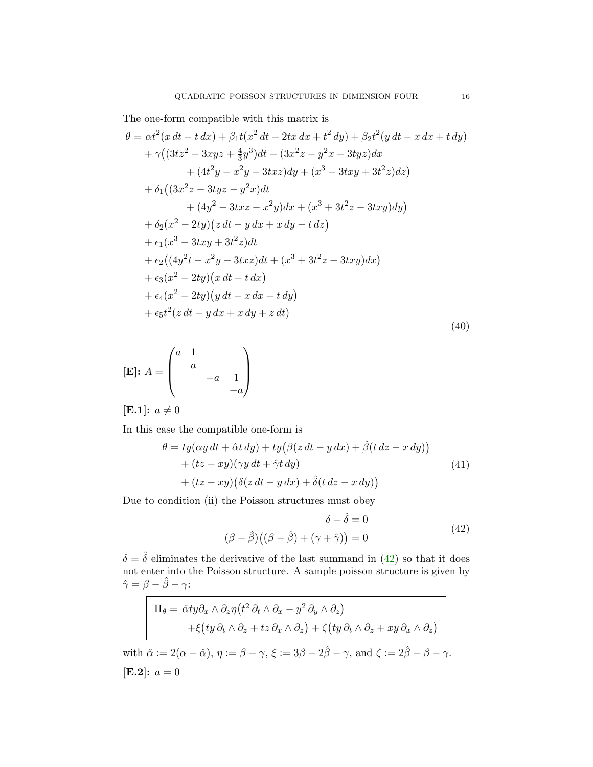The one-form compatible with this matrix is

$$
\theta = \alpha t^{2}(x dt - t dx) + \beta_{1}t(x^{2} dt - 2tx dx + t^{2} dy) + \beta_{2}t^{2}(y dt - x dx + t dy) \n+ \gamma((3tz^{2} - 3xyz + \frac{4}{3}y^{3})dt + (3x^{2}z - y^{2}x - 3tyz)dx \n+ (4t^{2}y - x^{2}y - 3txz)dy + (x^{3} - 3txy + 3t^{2}z)dz) \n+ \delta_{1}((3x^{2}z - 3tyz - y^{2}x)dt \n+ (4y^{2} - 3txz - x^{2}y)dx + (x^{3} + 3t^{2}z - 3txy)dy \n+ \delta_{2}(x^{2} - 2ty)(z dt - y dx + x dy - t dz) \n+ \epsilon_{1}(x^{3} - 3txy + 3t^{2}z)dt \n+ \epsilon_{2}((4y^{2}t - x^{2}y - 3txz)dt + (x^{3} + 3t^{2}z - 3txy)dx) \n+ \epsilon_{3}(x^{2} - 2ty)(x dt - t dx) \n+ \epsilon_{4}(x^{2} - 2ty)(y dt - x dx + t dy) \n+ \epsilon_{5}t^{2}(z dt - y dx + x dy + z dt)
$$
\n(40)

$$
[\mathbf{E}]\colon A = \begin{pmatrix} a & 1 & & \\ & a & & \\ & & -a & 1 \\ & & & -a \end{pmatrix}
$$

[**E.1**]:  $a \neq 0$ 

In this case the compatible one-form is

$$
\theta = ty(\alpha y dt + \hat{\alpha}t dy) + ty(\beta(z dt - y dx) + \hat{\beta}(t dz - x dy)) + (tz - xy)(\gamma y dt + \hat{\gamma}t dy) + (tz - xy)(\delta(z dt - y dx) + \hat{\delta}(t dz - x dy))
$$
\n(41)

<span id="page-15-0"></span>Due to condition (ii) the Poisson structures must obey

$$
\delta - \hat{\delta} = 0
$$
  

$$
(\beta - \hat{\beta})((\beta - \hat{\beta}) + (\gamma + \hat{\gamma})) = 0
$$
 (42)

 $\overline{\phantom{0}}$ 

 $\delta = \hat{\delta}$  eliminates the derivative of the last summand in [\(42\)](#page-15-0) so that it does not enter into the Poisson structure. A sample poisson structure is given by  $\hat{\gamma} = \beta - \hat{\beta} - \gamma$ :

$$
\boxed{\n\Pi_{\theta} = \check{\alpha}ty\partial_x \wedge \partial_z \eta(t^2 \partial_t \wedge \partial_x - y^2 \partial_y \wedge \partial_z)\n+ \xi(ty \partial_t \wedge \partial_z + tz \partial_x \wedge \partial_z) + \zeta(ty \partial_t \wedge \partial_z + xy \partial_x \wedge \partial_z)\n\over{\check{\alpha} := 2(\alpha - \hat{\alpha}), \eta := \beta - \gamma, \xi := 3\beta - 2\hat{\beta} - \gamma, \text{ and } \zeta := 2\hat{\beta} - \beta - \gamma}
$$

with  $\check{\alpha} := 2(\alpha - \hat{\alpha}), \eta := \beta - \gamma, \xi := 3\beta - 2\hat{\beta} - \gamma, \text{ and } \zeta := 2\hat{\beta} - \beta - \gamma.$ [**E.2**]:  $a = 0$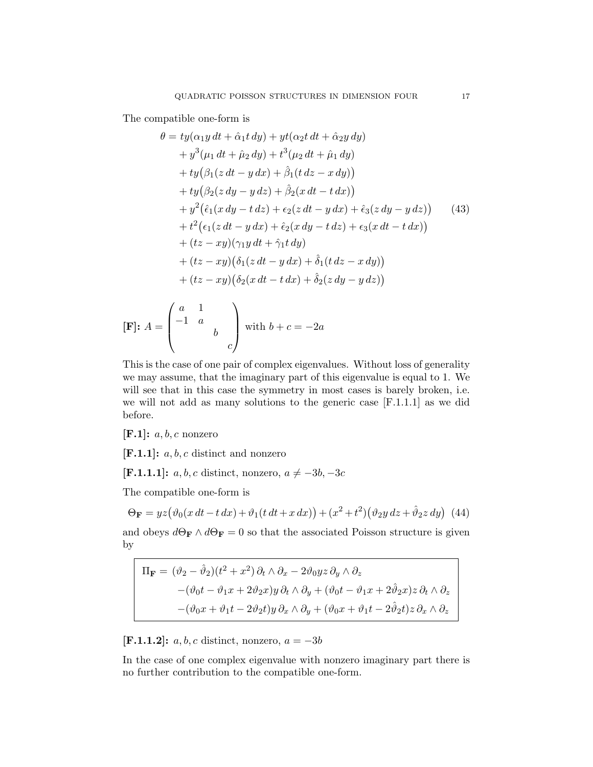The compatible one-form is

$$
\theta = ty(\alpha_1 y dt + \hat{\alpha}_1 t dy) + yt(\alpha_2 t dt + \hat{\alpha}_2 y dy)
$$
  
+  $y^3(\mu_1 dt + \hat{\mu}_2 dy) + t^3(\mu_2 dt + \hat{\mu}_1 dy)$   
+  $ty(\beta_1(z dt - y dx) + \hat{\beta}_1(t dz - x dy))$   
+  $ty(\beta_2(z dy - y dz) + \hat{\beta}_2(x dt - t dx))$   
+  $y^2(\hat{\epsilon}_1(x dy - t dz) + \epsilon_2(z dt - y dx) + \hat{\epsilon}_3(z dy - y dz))$  (43)  
+  $t^2(\epsilon_1(z dt - y dx) + \hat{\epsilon}_2(x dy - t dz) + \epsilon_3(x dt - t dx))$   
+  $(tz - xy)(\gamma_1 y dt + \hat{\gamma}_1 t dy)$   
+  $(tz - xy)(\delta_1(z dt - y dx) + \hat{\delta}_1(t dz - x dy))$   
+  $(tz - xy)(\delta_2(x dt - t dx) + \hat{\delta}_2(z dy - y dz))$ 

$$
[\mathbf{F}]\mathbf{:} A = \begin{pmatrix} a & 1 \\ -1 & a \\ & b & c \end{pmatrix} \text{ with } b + c = -2a
$$

This is the case of one pair of complex eigenvalues. Without loss of generality we may assume, that the imaginary part of this eigenvalue is equal to 1. We will see that in this case the symmetry in most cases is barely broken, i.e. we will not add as many solutions to the generic case [F.1.1.1] as we did before.

 $[F.1]: a, b, c$  nonzero

 $[F.1.1]: a, b, c$  distinct and nonzero

[**F.1.1.1**]:  $a, b, c$  distinct, nonzero,  $a \neq -3b, -3c$ 

The compatible one-form is

$$
\Theta_{\mathbf{F}} = yz(\vartheta_0(x dt - t dx) + \vartheta_1(t dt + x dx)) + (x^2 + t^2)(\vartheta_2 y dz + \hat{\vartheta}_2 z dy)
$$
(44)

and obeys  $d\Theta_{\mathbf{F}} \wedge d\Theta_{\mathbf{F}} = 0$  so that the associated Poisson structure is given by

$$
\Pi_{\mathbf{F}} = (\vartheta_2 - \hat{\vartheta}_2)(t^2 + x^2) \partial_t \wedge \partial_x - 2\vartheta_0 yz \partial_y \wedge \partial_z
$$
  
 
$$
-(\vartheta_0 t - \vartheta_1 x + 2\vartheta_2 x) y \partial_t \wedge \partial_y + (\vartheta_0 t - \vartheta_1 x + 2\hat{\vartheta}_2 x) z \partial_t \wedge \partial_z
$$
  
 
$$
-(\vartheta_0 x + \vartheta_1 t - 2\vartheta_2 t) y \partial_x \wedge \partial_y + (\vartheta_0 x + \vartheta_1 t - 2\hat{\vartheta}_2 t) z \partial_x \wedge \partial_z
$$

[F.1.1.2]:  $a, b, c$  distinct, nonzero,  $a = -3b$ 

In the case of one complex eigenvalue with nonzero imaginary part there is no further contribution to the compatible one-form.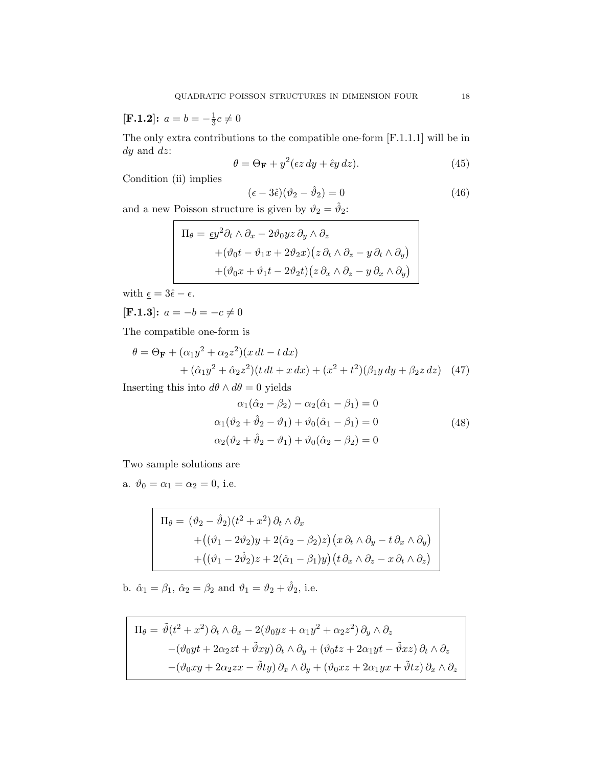$[F.1.2]$ :  $a = b = -\frac{1}{3}$  $\frac{1}{3}c \neq 0$ 

The only extra contributions to the compatible one-form [F.1.1.1] will be in  $dy$  and  $dz$ :

$$
\theta = \Theta_{\mathbf{F}} + y^2 (\epsilon z \, dy + \hat{\epsilon} y \, dz). \tag{45}
$$

Condition (ii) implies

$$
(\epsilon - 3\hat{\epsilon})(\vartheta_2 - \hat{\vartheta}_2) = 0 \tag{46}
$$

and a new Poisson structure is given by  $\vartheta_2 = \hat{\vartheta}_2$ :

$$
\Pi_{\theta} = \underline{\epsilon y^2} \partial_t \wedge \partial_x - 2 \partial_0 y z \partial_y \wedge \partial_z
$$
  
+  $( \partial_0 t - \partial_1 x + 2 \partial_2 x ) (z \partial_t \wedge \partial_z - y \partial_t \wedge \partial_y )$   
+  $( \partial_0 x + \partial_1 t - 2 \partial_2 t ) (z \partial_x \wedge \partial_z - y \partial_x \wedge \partial_y )$ 

with  $\underline{\epsilon} = 3\hat{\epsilon} - \epsilon$ .

$$
[F.1.3]:  $a = -b = -c \neq 0$
$$

The compatible one-form is

$$
\theta = \Theta_{\mathbf{F}} + (\alpha_1 y^2 + \alpha_2 z^2)(x dt - t dx) + (\hat{\alpha}_1 y^2 + \hat{\alpha}_2 z^2)(t dt + x dx) + (x^2 + t^2)(\beta_1 y dy + \beta_2 z dz)
$$
 (47)

Inserting this into  $d\theta \wedge d\theta = 0$  yields

$$
\alpha_1(\hat{\alpha}_2 - \beta_2) - \alpha_2(\hat{\alpha}_1 - \beta_1) = 0
$$
  
\n
$$
\alpha_1(\vartheta_2 + \hat{\vartheta}_2 - \vartheta_1) + \vartheta_0(\hat{\alpha}_1 - \beta_1) = 0
$$
  
\n
$$
\alpha_2(\vartheta_2 + \hat{\vartheta}_2 - \vartheta_1) + \vartheta_0(\hat{\alpha}_2 - \beta_2) = 0
$$
\n(48)

Two sample solutions are

a.  $\vartheta_0 = \alpha_1 = \alpha_2 = 0$ , i.e.

$$
\Pi_{\theta} = (\vartheta_2 - \hat{\vartheta}_2)(t^2 + x^2) \partial_t \wedge \partial_x \n+ ((\vartheta_1 - 2\vartheta_2)y + 2(\hat{\alpha}_2 - \beta_2)z) (x \partial_t \wedge \partial_y - t \partial_x \wedge \partial_y) \n+ ((\vartheta_1 - 2\hat{\vartheta}_2)z + 2(\hat{\alpha}_1 - \beta_1)y) (t \partial_x \wedge \partial_z - x \partial_t \wedge \partial_z)
$$

b.  $\hat{\alpha}_1 = \beta_1$ ,  $\hat{\alpha}_2 = \beta_2$  and  $\vartheta_1 = \vartheta_2 + \hat{\vartheta}_2$ , i.e.

$$
\Pi_{\theta} = \tilde{\vartheta}(t^2 + x^2) \partial_t \wedge \partial_x - 2(\vartheta_0 y z + \alpha_1 y^2 + \alpha_2 z^2) \partial_y \wedge \partial_z
$$
  
 
$$
-(\vartheta_0 y t + 2\alpha_2 z t + \tilde{\vartheta} x y) \partial_t \wedge \partial_y + (\vartheta_0 t z + 2\alpha_1 y t - \tilde{\vartheta} x z) \partial_t \wedge \partial_z
$$
  
 
$$
-(\vartheta_0 x y + 2\alpha_2 z x - \tilde{\vartheta} t y) \partial_x \wedge \partial_y + (\vartheta_0 x z + 2\alpha_1 y x + \tilde{\vartheta} t z) \partial_x \wedge \partial_z
$$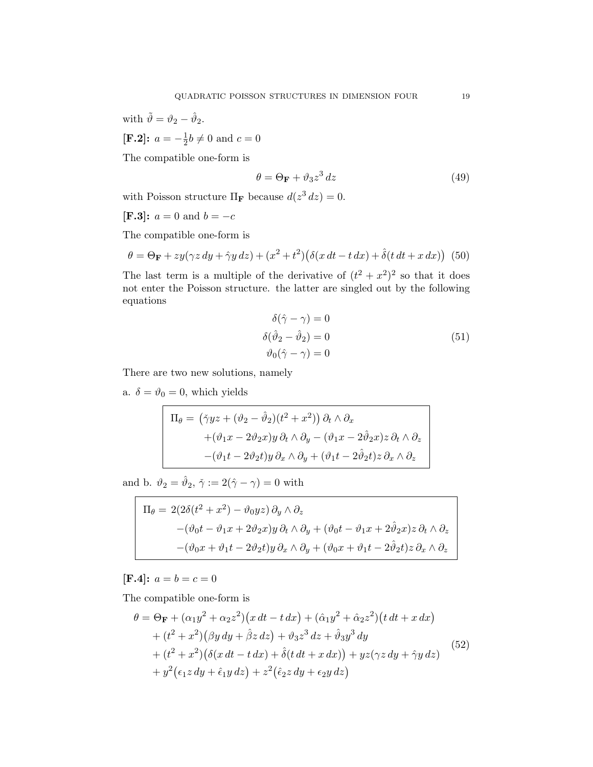with  $\tilde{\vartheta} = \vartheta_2 - \hat{\vartheta}_2$ .  $[{\bf F.2}]$ :  $a=-\frac{1}{2}$  $\frac{1}{2}b \neq 0$  and  $c = 0$ 

The compatible one-form is

$$
\theta = \Theta_{\mathbf{F}} + \vartheta_3 z^3 \, dz \tag{49}
$$

with Poisson structure  $\Pi_{\mathbf{F}}$  because  $d(z^3 dz) = 0$ .

[**F.3**]:  $a = 0$  and  $b = -c$ 

The compatible one-form is

$$
\theta = \Theta_{\mathbf{F}} + zy(\gamma z \, dy + \hat{\gamma}y \, dz) + (x^2 + t^2)(\delta(x \, dt - t \, dx) + \hat{\delta}(t \, dt + x \, dx)) \tag{50}
$$

The last term is a multiple of the derivative of  $(t^2 + x^2)^2$  so that it does not enter the Poisson structure. the latter are singled out by the following equations

$$
\delta(\hat{\gamma} - \gamma) = 0
$$
  
\n
$$
\delta(\hat{\vartheta}_2 - \hat{\vartheta}_2) = 0
$$
  
\n
$$
\vartheta_0(\hat{\gamma} - \gamma) = 0
$$
\n(51)

There are two new solutions, namely

a.  $\delta = \vartheta_0 = 0$ , which yields

$$
\Pi_{\theta} = (\tilde{\gamma}yz + (\vartheta_2 - \hat{\vartheta}_2)(t^2 + x^2)) \partial_t \wedge \partial_x \n+ (\vartheta_1x - 2\vartheta_2x)y \partial_t \wedge \partial_y - (\vartheta_1x - 2\hat{\vartheta}_2x)z \partial_t \wedge \partial_z \n- (\vartheta_1t - 2\vartheta_2t)y \partial_x \wedge \partial_y + (\vartheta_1t - 2\hat{\vartheta}_2t)z \partial_x \wedge \partial_z
$$

and b.  $\vartheta_2 = \hat{\vartheta}_2$ ,  $\check{\gamma} := 2(\hat{\gamma} - \gamma) = 0$  with

$$
\Pi_{\theta} = 2(2\delta(t^2 + x^2) - \vartheta_0 yz) \partial_y \wedge \partial_z \n- (\vartheta_0 t - \vartheta_1 x + 2\vartheta_2 x) y \partial_t \wedge \partial_y + (\vartheta_0 t - \vartheta_1 x + 2\vartheta_2 x) z \partial_t \wedge \partial_z \n- (\vartheta_0 x + \vartheta_1 t - 2\vartheta_2 t) y \partial_x \wedge \partial_y + (\vartheta_0 x + \vartheta_1 t - 2\vartheta_2 t) z \partial_x \wedge \partial_z
$$

[**F.4**]:  $a = b = c = 0$ 

The compatible one-form is

$$
\theta = \Theta_{\mathbf{F}} + (\alpha_1 y^2 + \alpha_2 z^2)(x dt - t dx) + (\hat{\alpha}_1 y^2 + \hat{\alpha}_2 z^2)(t dt + x dx) \n+ (t^2 + x^2)(\beta y dy + \hat{\beta} z dz) + \vartheta_3 z^3 dz + \hat{\vartheta}_3 y^3 dy \n+ (t^2 + x^2)(\delta(x dt - t dx) + \hat{\delta}(t dt + x dx)) + yz(\gamma z dy + \hat{\gamma} y dz) \n+ y^2(\epsilon_1 z dy + \hat{\epsilon}_1 y dz) + z^2(\hat{\epsilon}_2 z dy + \epsilon_2 y dz)
$$
\n(52)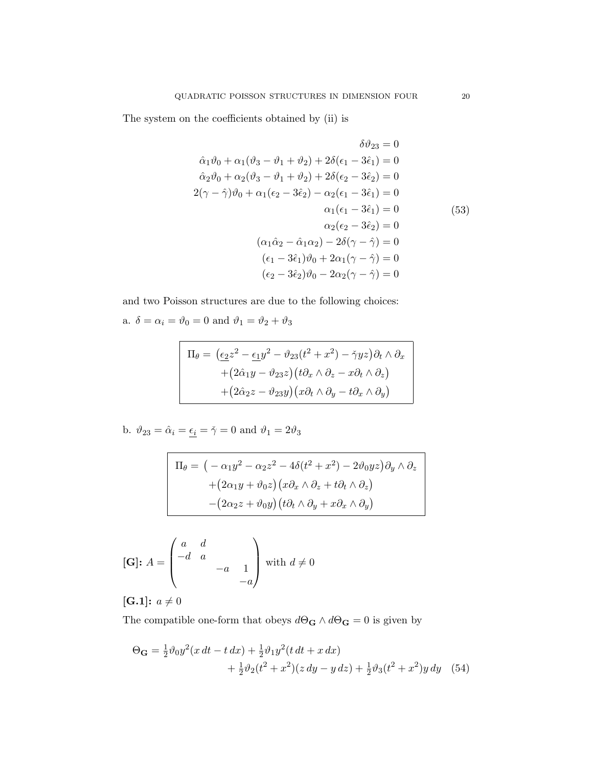The system on the coefficients obtained by (ii) is

$$
\delta \vartheta_{23} = 0
$$
  
\n
$$
\hat{\alpha}_{1} \vartheta_{0} + \alpha_{1} (\vartheta_{3} - \vartheta_{1} + \vartheta_{2}) + 2\delta(\epsilon_{1} - 3\hat{\epsilon}_{1}) = 0
$$
  
\n
$$
\hat{\alpha}_{2} \vartheta_{0} + \alpha_{2} (\vartheta_{3} - \vartheta_{1} + \vartheta_{2}) + 2\delta(\epsilon_{2} - 3\hat{\epsilon}_{2}) = 0
$$
  
\n
$$
2(\gamma - \hat{\gamma})\vartheta_{0} + \alpha_{1}(\epsilon_{2} - 3\hat{\epsilon}_{2}) - \alpha_{2}(\epsilon_{1} - 3\hat{\epsilon}_{1}) = 0
$$
  
\n
$$
\alpha_{1}(\epsilon_{1} - 3\hat{\epsilon}_{1}) = 0
$$
  
\n
$$
\alpha_{2}(\epsilon_{2} - 3\hat{\epsilon}_{2}) = 0
$$
  
\n
$$
(\alpha_{1}\hat{\alpha}_{2} - \hat{\alpha}_{1}\alpha_{2}) - 2\delta(\gamma - \hat{\gamma}) = 0
$$
  
\n
$$
(\epsilon_{1} - 3\hat{\epsilon}_{1})\vartheta_{0} + 2\alpha_{1}(\gamma - \hat{\gamma}) = 0
$$
  
\n
$$
(\epsilon_{2} - 3\hat{\epsilon}_{2})\vartheta_{0} - 2\alpha_{2}(\gamma - \hat{\gamma}) = 0
$$

and two Poisson structures are due to the following choices: a.  $\delta=\alpha_i=\vartheta_0=0$  and  $\vartheta_1=\vartheta_2+\vartheta_3$ 

$$
\Pi_{\theta} = \left(\underline{\epsilon_{2}}z^{2} - \underline{\epsilon_{1}}y^{2} - \vartheta_{23}(t^{2} + x^{2}) - \check{\gamma}yz\right)\partial_{t} \wedge \partial_{x}
$$

$$
+ \left(2\hat{\alpha}_{1}y - \vartheta_{23}z\right)\left(t\partial_{x} \wedge \partial_{z} - x\partial_{t} \wedge \partial_{z}\right)
$$

$$
+ \left(2\hat{\alpha}_{2}z - \vartheta_{23}y\right)\left(x\partial_{t} \wedge \partial_{y} - t\partial_{x} \wedge \partial_{y}\right)
$$

b.  $\vartheta_{23}=\hat{\alpha}_i=\underline{\epsilon_i}=\check{\gamma}=0$  and  $\vartheta_1=2\vartheta_3$ 

$$
\Pi_{\theta} = ( -\alpha_1 y^2 - \alpha_2 z^2 - 4\delta(t^2 + x^2) - 2\vartheta_0 y z ) \partial_y \wedge \partial_z + (2\alpha_1 y + \vartheta_0 z) (x \partial_x \wedge \partial_z + t \partial_t \wedge \partial_z) -(2\alpha_2 z + \vartheta_0 y) (t \partial_t \wedge \partial_y + x \partial_x \wedge \partial_y)
$$

$$
[\mathbf{G}]\colon A = \begin{pmatrix} a & d & & \\ -d & a & & \\ & & -a & 1 \\ & & & -a \end{pmatrix} \text{ with } d \neq 0
$$

[G.1]:  $a \neq 0$ 

The compatible one-form that obeys  $d\Theta_{\mathbf{G}}\wedge d\Theta_{\mathbf{G}}=0$  is given by

$$
\Theta_{\mathbf{G}} = \frac{1}{2} \vartheta_0 y^2 (x dt - t dx) + \frac{1}{2} \vartheta_1 y^2 (t dt + x dx) + \frac{1}{2} \vartheta_2 (t^2 + x^2)(z dy - y dz) + \frac{1}{2} \vartheta_3 (t^2 + x^2) y dy
$$
 (54)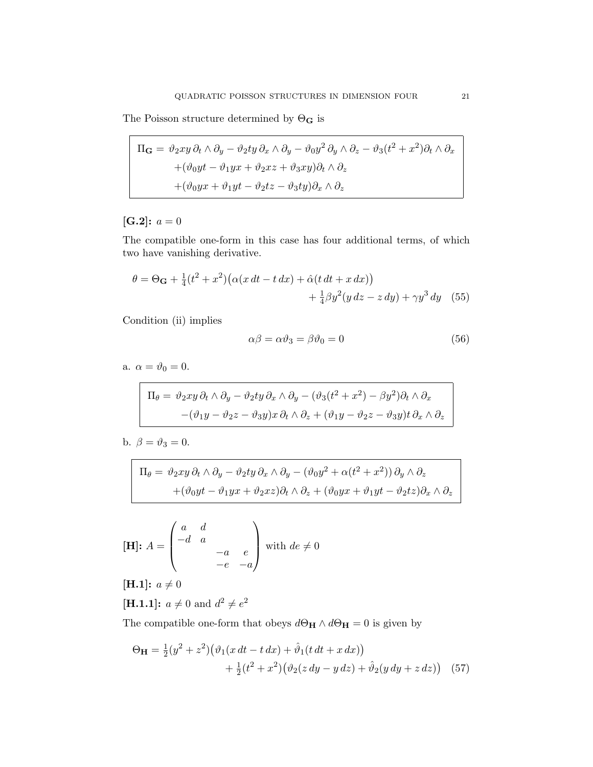The Poisson structure determined by  $\Theta_{\mathbf{G}}$  is

$$
\Pi_{\mathbf{G}} = \vartheta_2 xy \, \partial_t \wedge \partial_y - \vartheta_2 ty \, \partial_x \wedge \partial_y - \vartheta_0 y^2 \, \partial_y \wedge \partial_z - \vartheta_3 (t^2 + x^2) \partial_t \wedge \partial_x \n+ (\vartheta_0 yt - \vartheta_1 yx + \vartheta_2 xz + \vartheta_3 xy) \partial_t \wedge \partial_z \n+ (\vartheta_0 yx + \vartheta_1 yt - \vartheta_2 tz - \vartheta_3 ty) \partial_x \wedge \partial_z
$$

# [**G.2**]:  $a = 0$

The compatible one-form in this case has four additional terms, of which two have vanishing derivative.

$$
\theta = \Theta_{\mathbf{G}} + \frac{1}{4}(t^2 + x^2) \big( \alpha (x dt - t dx) + \hat{\alpha} (t dt + x dx) \big) + \frac{1}{4} \beta y^2 (y dz - z dy) + \gamma y^3 dy
$$
 (55)

Condition (ii) implies

$$
\alpha \beta = \alpha \vartheta_3 = \beta \vartheta_0 = 0 \tag{56}
$$

a.  $\alpha = \vartheta_0 = 0$ .

$$
\Pi_{\theta} = \vartheta_2 xy \, \partial_t \wedge \partial_y - \vartheta_2 ty \, \partial_x \wedge \partial_y - (\vartheta_3 (t^2 + x^2) - \beta y^2) \partial_t \wedge \partial_x -(\vartheta_1 y - \vartheta_2 z - \vartheta_3 y) x \, \partial_t \wedge \partial_z + (\vartheta_1 y - \vartheta_2 z - \vartheta_3 y) t \, \partial_x \wedge \partial_z
$$

b.  $\beta = \vartheta_3 = 0$ .

$$
\Pi_{\theta} = \vartheta_2 xy \, \partial_t \wedge \partial_y - \vartheta_2 ty \, \partial_x \wedge \partial_y - (\vartheta_0 y^2 + \alpha (t^2 + x^2)) \, \partial_y \wedge \partial_z
$$

$$
+ (\vartheta_0 yt - \vartheta_1 yx + \vartheta_2 xz) \partial_t \wedge \partial_z + (\vartheta_0 yx + \vartheta_1 yt - \vartheta_2 tz) \partial_x \wedge \partial_z
$$

$$
[\mathbf{H}]\mathbf{:} A = \begin{pmatrix} a & d & & \\ -d & a & & \\ & -a & e & \\ & -e & -a \end{pmatrix} \text{ with } de \neq 0
$$

[H.1]:  $a \neq 0$ 

**[H.1.1]**: 
$$
a \neq 0
$$
 and  $d^2 \neq e^2$ 

The compatible one-form that obeys  $d\Theta_{\mathbf{H}} \wedge d\Theta_{\mathbf{H}} = 0$  is given by

$$
\Theta_{\mathbf{H}} = \frac{1}{2}(y^2 + z^2) \big( \vartheta_1(x dt - t dx) + \hat{\vartheta}_1(t dt + x dx) \big) + \frac{1}{2}(t^2 + x^2) \big( \vartheta_2(z dy - y dz) + \hat{\vartheta}_2(y dy + z dz) \big)
$$
(57)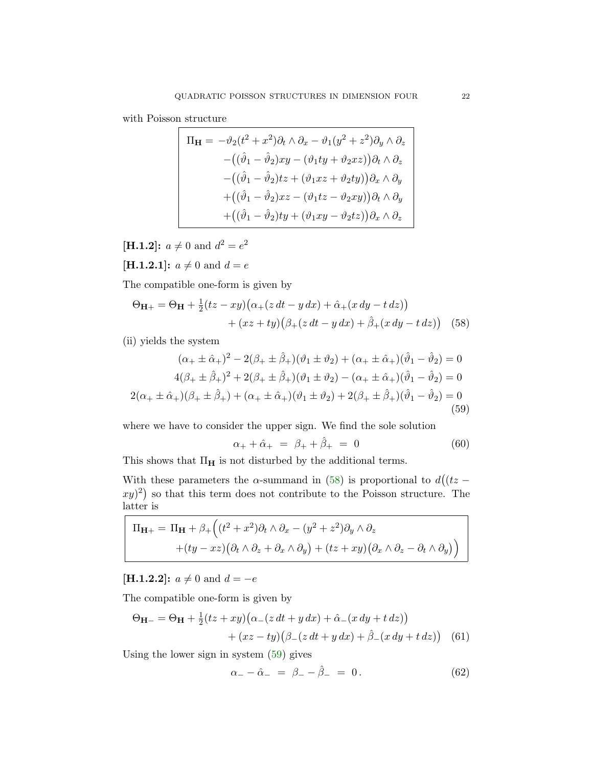with Poisson structure

$$
\Pi_{\mathbf{H}} = -\vartheta_2(t^2 + x^2)\partial_t \wedge \partial_x - \vartheta_1(y^2 + z^2)\partial_y \wedge \partial_z
$$
  
-( $(\hat{\vartheta}_1 - \hat{\vartheta}_2)xy - (\vartheta_1ty + \vartheta_2xz))\partial_t \wedge \partial_z$   
-( $(\hat{\vartheta}_1 - \hat{\vartheta}_2)tz + (\vartheta_1xz + \vartheta_2ty))\partial_x \wedge \partial_y$   
+( $(\hat{\vartheta}_1 - \hat{\vartheta}_2)xz - (\vartheta_1tz - \vartheta_2xy))\partial_t \wedge \partial_y$   
+( $(\hat{\vartheta}_1 - \hat{\vartheta}_2)ty + (\vartheta_1xy - \vartheta_2tz))\partial_x \wedge \partial_z$ 

[**H.1.2**]:  $a \neq 0$  and  $d^2 = e^2$ 

**[H.1.2.1]:**  $a \neq 0$  and  $d = e$ 

The compatible one-form is given by

$$
\Theta_{\mathbf{H}+} = \Theta_{\mathbf{H}} + \frac{1}{2}(tz - xy)\big(\alpha_{+}(z\,dt - y\,dx) + \hat{\alpha}_{+}(x\,dy - t\,dz)\big) + (xz + ty)\big(\beta_{+}(z\,dt - y\,dx) + \hat{\beta}_{+}(x\,dy - t\,dz)\big) \quad (58)
$$

(ii) yields the system

<span id="page-21-1"></span>
$$
(\alpha_{+} \pm \hat{\alpha}_{+})^{2} - 2(\beta_{+} \pm \hat{\beta}_{+})(\vartheta_{1} \pm \vartheta_{2}) + (\alpha_{+} \pm \hat{\alpha}_{+})(\hat{\vartheta}_{1} - \hat{\vartheta}_{2}) = 0
$$
  

$$
4(\beta_{+} \pm \hat{\beta}_{+})^{2} + 2(\beta_{+} \pm \hat{\beta}_{+})(\vartheta_{1} \pm \vartheta_{2}) - (\alpha_{+} \pm \hat{\alpha}_{+})(\hat{\vartheta}_{1} - \hat{\vartheta}_{2}) = 0
$$
  

$$
2(\alpha_{+} \pm \hat{\alpha}_{+})(\beta_{+} \pm \hat{\beta}_{+}) + (\alpha_{+} \pm \hat{\alpha}_{+})(\vartheta_{1} \pm \vartheta_{2}) + 2(\beta_{+} \pm \hat{\beta}_{+})(\hat{\vartheta}_{1} - \hat{\vartheta}_{2}) = 0
$$
  
(59)

where we have to consider the upper sign. We find the sole solution

<span id="page-21-0"></span>
$$
\alpha_{+} + \hat{\alpha}_{+} = \beta_{+} + \hat{\beta}_{+} = 0 \tag{60}
$$

This shows that  $\Pi_\mathbf{H}$  is not disturbed by the additional terms.

With these parameters the  $\alpha$ -summand in [\(58\)](#page-21-0) is proportional to  $d((tz (xy)^2$  so that this term does not contribute to the Poisson structure. The latter is

$$
\Pi_{\mathbf{H}+} = \Pi_{\mathbf{H}} + \beta_+ \Big( (t^2 + x^2) \partial_t \wedge \partial_x - (y^2 + z^2) \partial_y \wedge \partial_z \n+ (ty - xz) \Big( \partial_t \wedge \partial_z + \partial_x \wedge \partial_y \Big) + (tz + xy) \Big( \partial_x \wedge \partial_z - \partial_t \wedge \partial_y \Big) \Big)
$$

[**H.1.2.2**]:  $a \neq 0$  and  $d = -e$ 

The compatible one-form is given by

$$
\Theta_{\mathbf{H}-} = \Theta_{\mathbf{H}} + \frac{1}{2}(tz + xy)\big(\alpha_{-}(z\,dt + y\,dx) + \hat{\alpha}_{-}(x\,dy + t\,dz)\big) + (xz - ty)\big(\beta_{-}(z\,dt + y\,dx) + \hat{\beta}_{-}(x\,dy + t\,dz)\big) \tag{61}
$$

Using the lower sign in system [\(59\)](#page-21-1) gives

$$
\alpha_{-} - \hat{\alpha}_{-} = \beta_{-} - \hat{\beta}_{-} = 0. \tag{62}
$$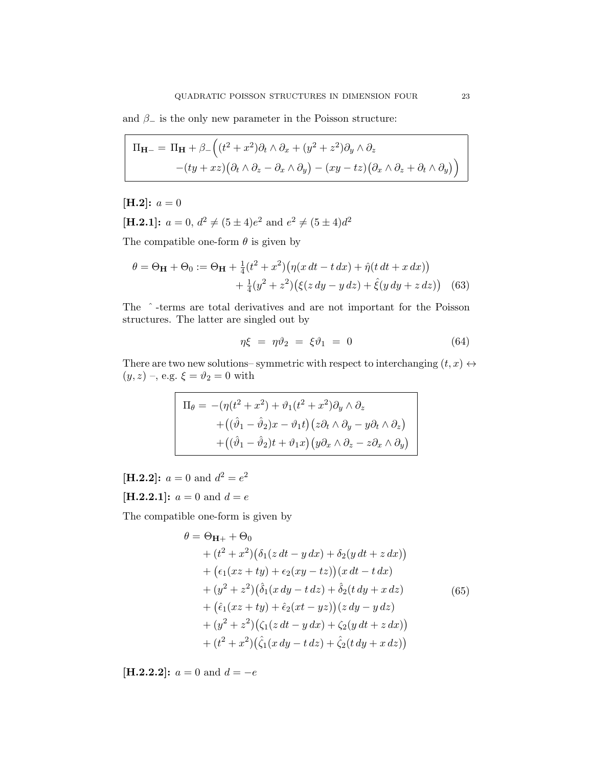and  $\beta$ <sub>−</sub> is the only new parameter in the Poisson structure:

$$
\Pi_{\mathbf{H}-} = \Pi_{\mathbf{H}} + \beta_{-} \Big( (t^{2} + x^{2}) \partial_{t} \wedge \partial_{x} + (y^{2} + z^{2}) \partial_{y} \wedge \partial_{z} - (ty + xz) (\partial_{t} \wedge \partial_{z} - \partial_{x} \wedge \partial_{y}) - (xy - tz) (\partial_{x} \wedge \partial_{z} + \partial_{t} \wedge \partial_{y}) \Big)
$$

[**H.2**]:  $a = 0$ 

[**H.2.1**]: 
$$
a = 0
$$
,  $d^2 \neq (5 \pm 4)e^2$  and  $e^2 \neq (5 \pm 4)d^2$ 

The compatible one-form  $\theta$  is given by

$$
\theta = \Theta_{\mathbf{H}} + \Theta_0 := \Theta_{\mathbf{H}} + \frac{1}{4}(t^2 + x^2) \big( \eta(x dt - t dx) + \hat{\eta}(t dt + x dx) \big) + \frac{1}{4} (y^2 + z^2) \big( \xi(z dy - y dz) + \hat{\xi}(y dy + z dz) \big)
$$
(63)

The ˆ -terms are total derivatives and are not important for the Poisson structures. The latter are singled out by

$$
\eta \xi = \eta \vartheta_2 = \xi \vartheta_1 = 0 \tag{64}
$$

There are two new solutions– symmetric with respect to interchanging  $(t, x) \leftrightarrow$  $(y, z)$  –, e.g.  $\xi = \vartheta_2 = 0$  with

$$
\boxed{\Pi_{\theta} = -(\eta(t^2 + x^2) + \vartheta_1(t^2 + x^2)\partial_y \wedge \partial_z + ((\hat{\vartheta}_1 - \hat{\vartheta}_2)x - \vartheta_1t)(z\partial_t \wedge \partial_y - y\partial_t \wedge \partial_z) + ((\hat{\vartheta}_1 - \hat{\vartheta}_2)t + \vartheta_1x)(y\partial_x \wedge \partial_z - z\partial_x \wedge \partial_y)}
$$

[**H.2.2**]:  $a = 0$  and  $d^2 = e^2$ 

[**H.2.2.1**]:  $a = 0$  and  $d = e$ 

The compatible one-form is given by

$$
\theta = \Theta_{\mathbf{H}+} + \Theta_0 \n+ (t^2 + x^2)(\delta_1(z dt - y dx) + \delta_2(y dt + z dx)) \n+ (\epsilon_1(xz + ty) + \epsilon_2(xy - tz))(x dt - t dx) \n+ (y^2 + z^2)(\hat{\delta}_1(x dy - t dz) + \hat{\delta}_2(t dy + x dz) \n+ (\hat{\epsilon}_1(xz + ty) + \hat{\epsilon}_2(xt - yz))(z dy - y dz) \n+ (y^2 + z^2)(\zeta_1(z dt - y dx) + \zeta_2(y dt + z dx)) \n+ (t^2 + x^2)(\hat{\zeta}_1(x dy - t dz) + \hat{\zeta}_2(t dy + x dz))
$$
\n(65)

[**H.2.2.2**]:  $a = 0$  and  $d = -e$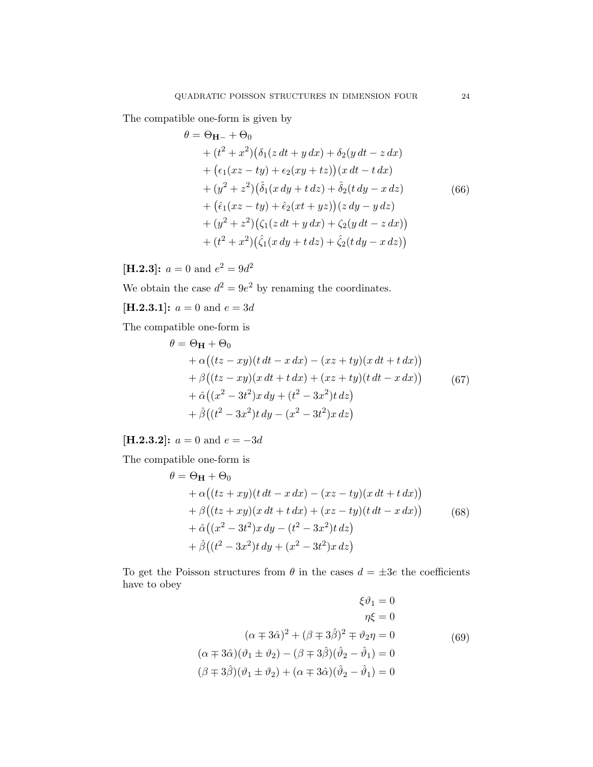The compatible one-form is given by

$$
\theta = \Theta_{\mathbf{H}-} + \Theta_{0} \n+ (t^{2} + x^{2})(\delta_{1}(z dt + y dx) + \delta_{2}(y dt - z dx) \n+ (\epsilon_{1}(xz - ty) + \epsilon_{2}(xy + tz))(x dt - t dx) \n+ (y^{2} + z^{2})(\hat{\delta}_{1}(x dy + t dz) + \hat{\delta}_{2}(t dy - x dz) \n+ (\hat{\epsilon}_{1}(xz - ty) + \hat{\epsilon}_{2}(xt + y z))(z dy - y dz) \n+ (y^{2} + z^{2})(\zeta_{1}(z dt + y dx) + \zeta_{2}(y dt - z dx)) \n+ (t^{2} + x^{2})(\hat{\zeta}_{1}(x dy + t dz) + \hat{\zeta}_{2}(t dy - x dz))
$$
\n(66)

[**H.2.3**]:  $a = 0$  and  $e^2 = 9d^2$ 

We obtain the case  $d^2 = 9e^2$  by renaming the coordinates.

[**H.2.3.1**]:  $a = 0$  and  $e = 3d$ 

The compatible one-form is

$$
\theta = \Theta_{\mathbf{H}} + \Theta_0 \n+ \alpha ((tz - xy)(t dt - x dx) - (xz + ty)(x dt + t dx)) \n+ \beta ((tz - xy)(x dt + t dx) + (xz + ty)(t dt - x dx)) \n+ \hat{\alpha} ((x^2 - 3t^2)x dy + (t^2 - 3x^2)t dz) \n+ \hat{\beta} ((t^2 - 3x^2)t dy - (x^2 - 3t^2)x dz)
$$
\n(67)

[**H.2.3.2**]:  $a = 0$  and  $e = -3d$ 

The compatible one-form is

$$
\theta = \Theta_{\mathbf{H}} + \Theta_0 \n+ \alpha ((tz + xy)(t dt - x dx) - (xz - ty)(x dt + t dx)) \n+ \beta ((tz + xy)(x dt + t dx) + (xz - ty)(t dt - x dx)) \n+ \hat{\alpha} ((x^2 - 3t^2)x dy - (t^2 - 3x^2)t dz) \n+ \hat{\beta} ((t^2 - 3x^2)t dy + (x^2 - 3t^2)x dz)
$$
\n(68)

To get the Poisson structures from  $\theta$  in the cases  $d = \pm 3e$  the coefficients have to obey

$$
\xi \vartheta_1 = 0
$$
  
\n
$$
\eta \xi = 0
$$
  
\n
$$
(\alpha \mp 3\hat{\alpha})^2 + (\beta \mp 3\hat{\beta})^2 \mp \vartheta_2 \eta = 0
$$
  
\n
$$
(\alpha \mp 3\hat{\alpha})(\vartheta_1 \pm \vartheta_2) - (\beta \mp 3\hat{\beta})(\hat{\vartheta}_2 - \hat{\vartheta}_1) = 0
$$
  
\n
$$
(\beta \mp 3\hat{\beta})(\vartheta_1 \pm \vartheta_2) + (\alpha \mp 3\hat{\alpha})(\hat{\vartheta}_2 - \hat{\vartheta}_1) = 0
$$
  
\n(69)